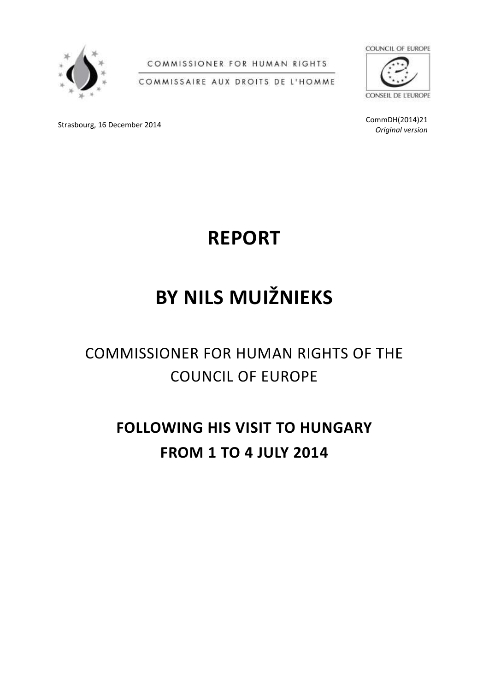

COMMISSIONER FOR HUMAN RIGHTS

COMMISSAIRE AUX DROITS DE L'HOMME



CONSEIL DE L'EUROPE

Strasbourg, 16 December 2014 CommDH(2014)21

*Original version*

# **REPORT**

# **BY NILS MUIŽNIEKS**

COMMISSIONER FOR HUMAN RIGHTS OF THE COUNCIL OF EUROPE

**FOLLOWING HIS VISIT TO HUNGARY FROM 1 TO 4 JULY 2014**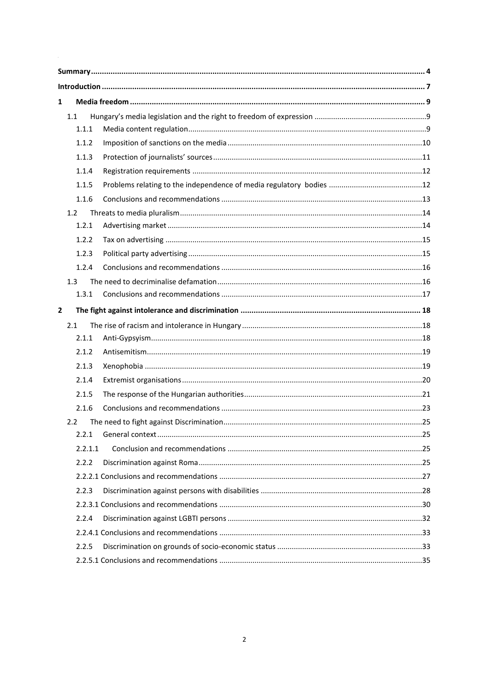| 1            |         |                              |  |  |  |  |  |
|--------------|---------|------------------------------|--|--|--|--|--|
| 1.1          |         |                              |  |  |  |  |  |
|              | 1.1.1   |                              |  |  |  |  |  |
|              | 1.1.2   |                              |  |  |  |  |  |
|              | 1.1.3   |                              |  |  |  |  |  |
|              | 1.1.4   |                              |  |  |  |  |  |
|              | 1.1.5   |                              |  |  |  |  |  |
|              | 1.1.6   |                              |  |  |  |  |  |
| 1.2          |         |                              |  |  |  |  |  |
|              | 1.2.1   |                              |  |  |  |  |  |
|              | 1.2.2   |                              |  |  |  |  |  |
|              | 1.2.3   |                              |  |  |  |  |  |
|              | 1.2.4   |                              |  |  |  |  |  |
| 1.3          |         |                              |  |  |  |  |  |
|              | 1.3.1   |                              |  |  |  |  |  |
| $\mathbf{2}$ |         |                              |  |  |  |  |  |
| 2.1          |         |                              |  |  |  |  |  |
|              | 2.1.1   |                              |  |  |  |  |  |
|              | 2.1.2   |                              |  |  |  |  |  |
|              | 2.1.3   |                              |  |  |  |  |  |
|              | 2.1.4   |                              |  |  |  |  |  |
|              | 2.1.5   |                              |  |  |  |  |  |
|              | 2.1.6   |                              |  |  |  |  |  |
| 2.2          |         |                              |  |  |  |  |  |
|              |         | 25<br>2 2.1 General context. |  |  |  |  |  |
|              | 2.2.1.1 |                              |  |  |  |  |  |
|              | 2.2.2   |                              |  |  |  |  |  |
|              |         |                              |  |  |  |  |  |
|              |         |                              |  |  |  |  |  |
|              | 2.2.3   |                              |  |  |  |  |  |
|              |         |                              |  |  |  |  |  |
|              | 2.2.4   |                              |  |  |  |  |  |
|              |         |                              |  |  |  |  |  |
|              | 2.2.5   |                              |  |  |  |  |  |

 $\label{eq:2.1} \frac{1}{\sqrt{2}}\int_{0}^{\infty}\frac{1}{\sqrt{2\pi}}\left(\frac{1}{\sqrt{2\pi}}\right)^{2}d\mu_{\rm{max}}\left(\frac{1}{\sqrt{2\pi}}\right).$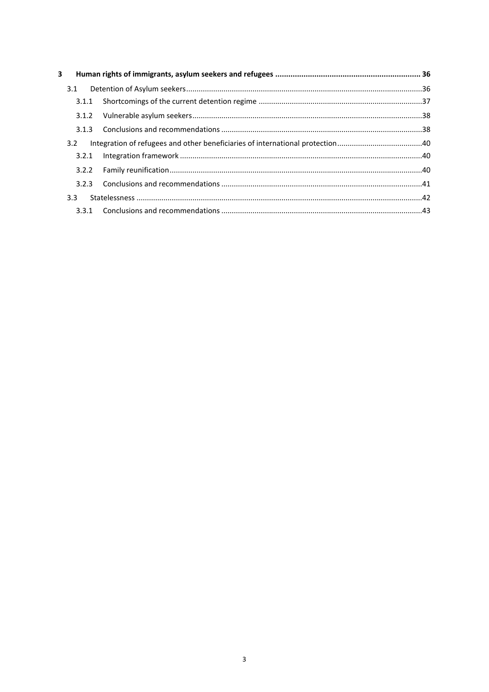| 3                |     |       |  |  |
|------------------|-----|-------|--|--|
|                  | 3.1 |       |  |  |
|                  |     | 3.1.1 |  |  |
|                  |     |       |  |  |
|                  |     |       |  |  |
|                  | 3.2 |       |  |  |
|                  |     | 3.2.1 |  |  |
|                  |     |       |  |  |
|                  |     | 323   |  |  |
| 3.3 <sub>1</sub> |     |       |  |  |
|                  |     |       |  |  |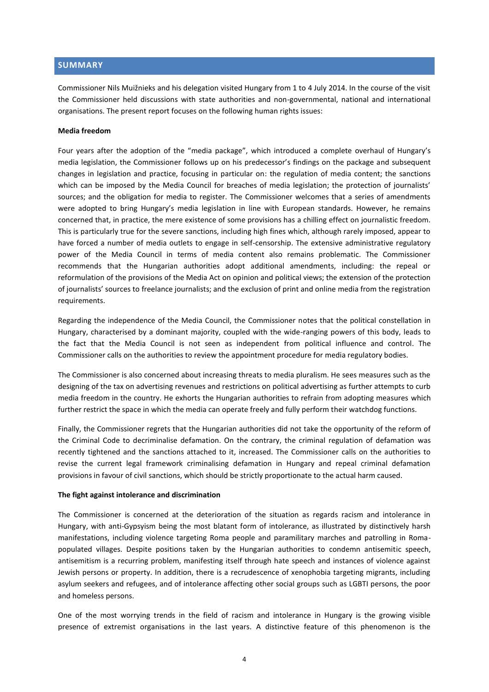#### <span id="page-3-0"></span>**SUMMARY**

Commissioner Nils Muižnieks and his delegation visited Hungary from 1 to 4 July 2014. In the course of the visit the Commissioner held discussions with state authorities and non-governmental, national and international organisations. The present report focuses on the following human rights issues:

#### **Media freedom**

Four years after the adoption of the "media package", which introduced a complete overhaul of Hungary's media legislation, the Commissioner follows up on his predecessor's findings on the package and subsequent changes in legislation and practice, focusing in particular on: the regulation of media content; the sanctions which can be imposed by the Media Council for breaches of media legislation; the protection of journalists' sources; and the obligation for media to register. The Commissioner welcomes that a series of amendments were adopted to bring Hungary's media legislation in line with European standards. However, he remains concerned that, in practice, the mere existence of some provisions has a chilling effect on journalistic freedom. This is particularly true for the severe sanctions, including high fines which, although rarely imposed, appear to have forced a number of media outlets to engage in self-censorship. The extensive administrative regulatory power of the Media Council in terms of media content also remains problematic. The Commissioner recommends that the Hungarian authorities adopt additional amendments, including: the repeal or reformulation of the provisions of the Media Act on opinion and political views; the extension of the protection of journalists' sources to freelance journalists; and the exclusion of print and online media from the registration requirements.

Regarding the independence of the Media Council, the Commissioner notes that the political constellation in Hungary, characterised by a dominant majority, coupled with the wide-ranging powers of this body, leads to the fact that the Media Council is not seen as independent from political influence and control. The Commissioner calls on the authorities to review the appointment procedure for media regulatory bodies.

The Commissioner is also concerned about increasing threats to media pluralism. He sees measures such as the designing of the tax on advertising revenues and restrictions on political advertising as further attempts to curb media freedom in the country. He exhorts the Hungarian authorities to refrain from adopting measures which further restrict the space in which the media can operate freely and fully perform their watchdog functions.

Finally, the Commissioner regrets that the Hungarian authorities did not take the opportunity of the reform of the Criminal Code to decriminalise defamation. On the contrary, the criminal regulation of defamation was recently tightened and the sanctions attached to it, increased. The Commissioner calls on the authorities to revise the current legal framework criminalising defamation in Hungary and repeal criminal defamation provisions in favour of civil sanctions, which should be strictly proportionate to the actual harm caused.

#### **The fight against intolerance and discrimination**

The Commissioner is concerned at the deterioration of the situation as regards racism and intolerance in Hungary, with anti-Gypsyism being the most blatant form of intolerance, as illustrated by distinctively harsh manifestations, including violence targeting Roma people and paramilitary marches and patrolling in Romapopulated villages. Despite positions taken by the Hungarian authorities to condemn antisemitic speech, antisemitism is a recurring problem, manifesting itself through hate speech and instances of violence against Jewish persons or property. In addition, there is a recrudescence of xenophobia targeting migrants, including asylum seekers and refugees, and of intolerance affecting other social groups such as LGBTI persons, the poor and homeless persons.

One of the most worrying trends in the field of racism and intolerance in Hungary is the growing visible presence of extremist organisations in the last years. A distinctive feature of this phenomenon is the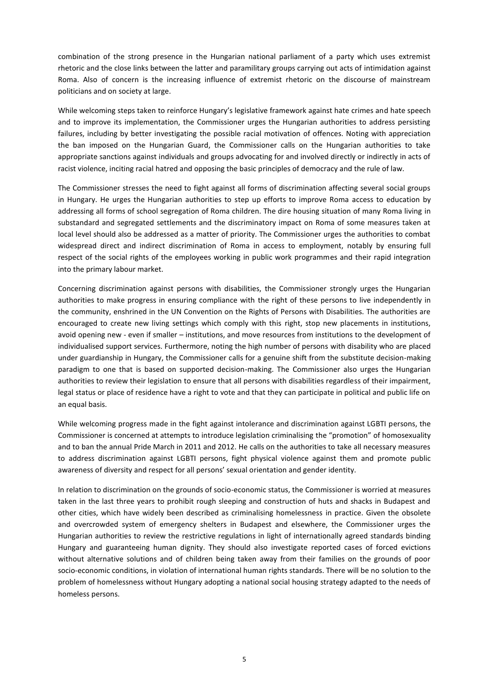combination of the strong presence in the Hungarian national parliament of a party which uses extremist rhetoric and the close links between the latter and paramilitary groups carrying out acts of intimidation against Roma. Also of concern is the increasing influence of extremist rhetoric on the discourse of mainstream politicians and on society at large.

While welcoming steps taken to reinforce Hungary's legislative framework against hate crimes and hate speech and to improve its implementation, the Commissioner urges the Hungarian authorities to address persisting failures, including by better investigating the possible racial motivation of offences. Noting with appreciation the ban imposed on the Hungarian Guard, the Commissioner calls on the Hungarian authorities to take appropriate sanctions against individuals and groups advocating for and involved directly or indirectly in acts of racist violence, inciting racial hatred and opposing the basic principles of democracy and the rule of law.

The Commissioner stresses the need to fight against all forms of discrimination affecting several social groups in Hungary. He urges the Hungarian authorities to step up efforts to improve Roma access to education by addressing all forms of school segregation of Roma children. The dire housing situation of many Roma living in substandard and segregated settlements and the discriminatory impact on Roma of some measures taken at local level should also be addressed as a matter of priority. The Commissioner urges the authorities to combat widespread direct and indirect discrimination of Roma in access to employment, notably by ensuring full respect of the social rights of the employees working in public work programmes and their rapid integration into the primary labour market.

Concerning discrimination against persons with disabilities, the Commissioner strongly urges the Hungarian authorities to make progress in ensuring compliance with the right of these persons to live independently in the community, enshrined in the UN Convention on the Rights of Persons with Disabilities. The authorities are encouraged to create new living settings which comply with this right, stop new placements in institutions, avoid opening new - even if smaller – institutions, and move resources from institutions to the development of individualised support services. Furthermore, noting the high number of persons with disability who are placed under guardianship in Hungary, the Commissioner calls for a genuine shift from the substitute decision-making paradigm to one that is based on supported decision-making. The Commissioner also urges the Hungarian authorities to review their legislation to ensure that all persons with disabilities regardless of their impairment, legal status or place of residence have a right to vote and that they can participate in political and public life on an equal basis.

While welcoming progress made in the fight against intolerance and discrimination against LGBTI persons, the Commissioner is concerned at attempts to introduce legislation criminalising the "promotion" of homosexuality and to ban the annual Pride March in 2011 and 2012. He calls on the authorities to take all necessary measures to address discrimination against LGBTI persons, fight physical violence against them and promote public awareness of diversity and respect for all persons' sexual orientation and gender identity.

In relation to discrimination on the grounds of socio-economic status, the Commissioner is worried at measures taken in the last three years to prohibit rough sleeping and construction of huts and shacks in Budapest and other cities, which have widely been described as criminalising homelessness in practice. Given the obsolete and overcrowded system of emergency shelters in Budapest and elsewhere, the Commissioner urges the Hungarian authorities to review the restrictive regulations in light of internationally agreed standards binding Hungary and guaranteeing human dignity. They should also investigate reported cases of forced evictions without alternative solutions and of children being taken away from their families on the grounds of poor socio-economic conditions, in violation of international human rights standards. There will be no solution to the problem of homelessness without Hungary adopting a national social housing strategy adapted to the needs of homeless persons.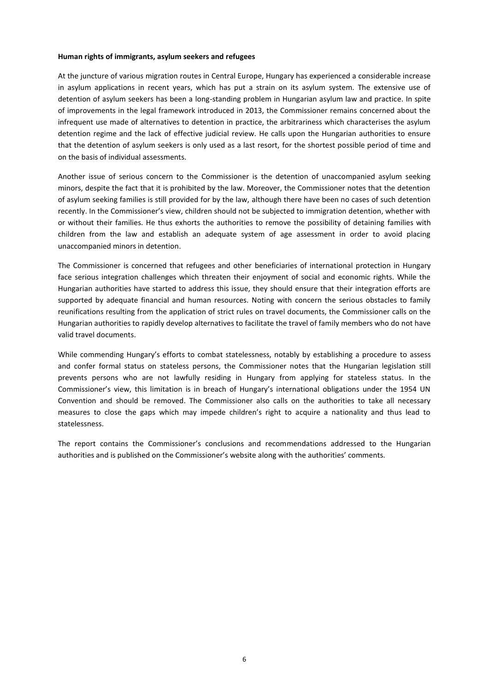#### **Human rights of immigrants, asylum seekers and refugees**

At the juncture of various migration routes in Central Europe, Hungary has experienced a considerable increase in asylum applications in recent years, which has put a strain on its asylum system. The extensive use of detention of asylum seekers has been a long-standing problem in Hungarian asylum law and practice. In spite of improvements in the legal framework introduced in 2013, the Commissioner remains concerned about the infrequent use made of alternatives to detention in practice, the arbitrariness which characterises the asylum detention regime and the lack of effective judicial review. He calls upon the Hungarian authorities to ensure that the detention of asylum seekers is only used as a last resort, for the shortest possible period of time and on the basis of individual assessments.

Another issue of serious concern to the Commissioner is the detention of unaccompanied asylum seeking minors, despite the fact that it is prohibited by the law. Moreover, the Commissioner notes that the detention of asylum seeking families is still provided for by the law, although there have been no cases of such detention recently. In the Commissioner's view, children should not be subjected to immigration detention, whether with or without their families. He thus exhorts the authorities to remove the possibility of detaining families with children from the law and establish an adequate system of age assessment in order to avoid placing unaccompanied minors in detention.

The Commissioner is concerned that refugees and other beneficiaries of international protection in Hungary face serious integration challenges which threaten their enjoyment of social and economic rights. While the Hungarian authorities have started to address this issue, they should ensure that their integration efforts are supported by adequate financial and human resources. Noting with concern the serious obstacles to family reunifications resulting from the application of strict rules on travel documents, the Commissioner calls on the Hungarian authorities to rapidly develop alternatives to facilitate the travel of family members who do not have valid travel documents.

While commending Hungary's efforts to combat statelessness, notably by establishing a procedure to assess and confer formal status on stateless persons, the Commissioner notes that the Hungarian legislation still prevents persons who are not lawfully residing in Hungary from applying for stateless status. In the Commissioner's view, this limitation is in breach of Hungary's international obligations under the 1954 UN Convention and should be removed. The Commissioner also calls on the authorities to take all necessary measures to close the gaps which may impede children's right to acquire a nationality and thus lead to statelessness.

The report contains the Commissioner's conclusions and recommendations addressed to the Hungarian authorities and is published on the Commissioner's website along with the authorities' comments.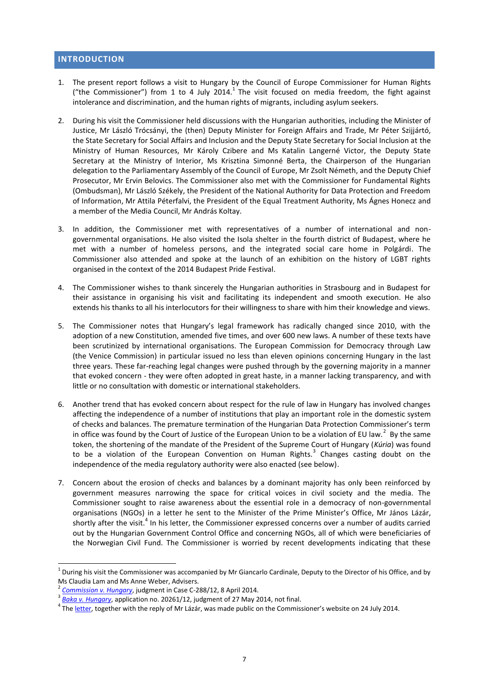## <span id="page-6-0"></span>**INTRODUCTION**

- 1. The present report follows a visit to Hungary by the Council of Europe Commissioner for Human Rights ("the Commissioner") from 1 to 4 July 2014.<sup>1</sup> The visit focused on media freedom, the fight against intolerance and discrimination, and the human rights of migrants, including asylum seekers.
- 2. During his visit the Commissioner held discussions with the Hungarian authorities, including the Minister of Justice, Mr László Trócsányi, the (then) Deputy Minister for Foreign Affairs and Trade, Mr Péter Szijjártó, the State Secretary for Social Affairs and Inclusion and the Deputy State Secretary for Social Inclusion at the Ministry of Human Resources, Mr Károly Czibere and Ms Katalin Langerné Victor, the Deputy State Secretary at the Ministry of Interior, Ms Krisztina Simonné Berta, the Chairperson of the Hungarian delegation to the Parliamentary Assembly of the Council of Europe, Mr Zsolt Németh, and the Deputy Chief Prosecutor, Mr Ervin Belovics. The Commissioner also met with the Commissioner for Fundamental Rights (Ombudsman), Mr László Székely, the President of the National Authority for Data Protection and Freedom of Information, Mr Attila Péterfalvi, the President of the Equal Treatment Authority, Ms Ágnes Honecz and a member of the Media Council, Mr András Koltay.
- 3. In addition, the Commissioner met with representatives of a number of international and nongovernmental organisations. He also visited the Isola shelter in the fourth district of Budapest, where he met with a number of homeless persons, and the integrated social care home in Polgárdi. The Commissioner also attended and spoke at the launch of an exhibition on the history of LGBT rights organised in the context of the 2014 Budapest Pride Festival.
- 4. The Commissioner wishes to thank sincerely the Hungarian authorities in Strasbourg and in Budapest for their assistance in organising his visit and facilitating its independent and smooth execution. He also extends his thanks to all his interlocutors for their willingness to share with him their knowledge and views.
- 5. The Commissioner notes that Hungary's legal framework has radically changed since 2010, with the adoption of a new Constitution, amended five times, and over 600 new laws. A number of these texts have been scrutinized by international organisations. The European Commission for Democracy through Law (the Venice Commission) in particular issued no less than eleven opinions concerning Hungary in the last three years. These far-reaching legal changes were pushed through by the governing majority in a manner that evoked concern - they were often adopted in great haste, in a manner lacking transparency, and with little or no consultation with domestic or international stakeholders.
- 6. Another trend that has evoked concern about respect for the rule of law in Hungary has involved changes affecting the independence of a number of institutions that play an important role in the domestic system of checks and balances. The premature termination of the Hungarian Data Protection Commissioner's term in office was found by the Court of Justice of the European Union to be a violation of EU law.<sup>2</sup> By the same token, the shortening of the mandate of the President of the Supreme Court of Hungary (*Kúria*) was found to be a violation of the European Convention on Human Rights.<sup>3</sup> Changes casting doubt on the independence of the media regulatory authority were also enacted (see below).
- 7. Concern about the erosion of checks and balances by a dominant majority has only been reinforced by government measures narrowing the space for critical voices in civil society and the media. The Commissioner sought to raise awareness about the essential role in a democracy of non-governmental organisations (NGOs) in a letter he sent to the Minister of the Prime Minister's Office, Mr János Lázár, shortly after the visit.<sup>4</sup> In his letter, the Commissioner expressed concerns over a number of audits carried out by the Hungarian Government Control Office and concerning NGOs, all of which were beneficiaries of the Norwegian Civil Fund. The Commissioner is worried by recent developments indicating that these

 $^1$  During his visit the Commissioner was accompanied by Mr Giancarlo Cardinale, Deputy to the Director of his Office, and by Ms Claudia Lam and Ms Anne Weber, Advisers.

<sup>2</sup> *[Commission v. Hungary](http://curia.europa.eu/juris/document/document.jsf;jsessionid=9ea7d0f130d57d053e4bb4354ed6b1c2b6174027f133.e34KaxiLc3eQc40LaxqMbN4Obh4Se0?text=&docid=150641&pageIndex=0&doclang=EN&mode=req&dir=&occ=first&part=1&cid=103160)*, judgment in Case C-288/12, 8 April 2014.

<sup>3</sup> *[Baka v. Hungary](http://hudoc.echr.coe.int/sites/eng/pages/search.aspx?i=001-144139)*, application no. 20261/12, judgment of 27 May 2014, not final.

<sup>&</sup>lt;sup>4</sup> The <u>letter</u>, together with the reply of Mr Lázár, was made public on the Commissioner's website on 24 July 2014.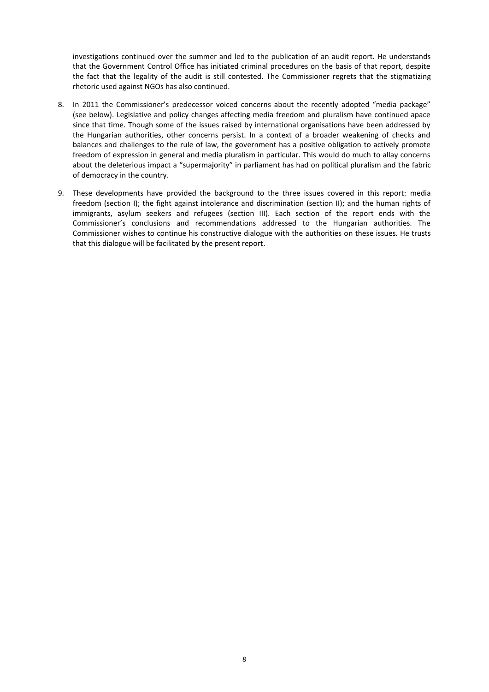investigations continued over the summer and led to the publication of an audit report. He understands that the Government Control Office has initiated criminal procedures on the basis of that report, despite the fact that the legality of the audit is still contested. The Commissioner regrets that the stigmatizing rhetoric used against NGOs has also continued.

- 8. In 2011 the Commissioner's predecessor voiced concerns about the recently adopted "media package" (see below). Legislative and policy changes affecting media freedom and pluralism have continued apace since that time. Though some of the issues raised by international organisations have been addressed by the Hungarian authorities, other concerns persist. In a context of a broader weakening of checks and balances and challenges to the rule of law, the government has a positive obligation to actively promote freedom of expression in general and media pluralism in particular. This would do much to allay concerns about the deleterious impact a "supermajority" in parliament has had on political pluralism and the fabric of democracy in the country.
- 9. These developments have provided the background to the three issues covered in this report: media freedom (section I); the fight against intolerance and discrimination (section II); and the human rights of immigrants, asylum seekers and refugees (section III). Each section of the report ends with the Commissioner's conclusions and recommendations addressed to the Hungarian authorities. The Commissioner wishes to continue his constructive dialogue with the authorities on these issues. He trusts that this dialogue will be facilitated by the present report.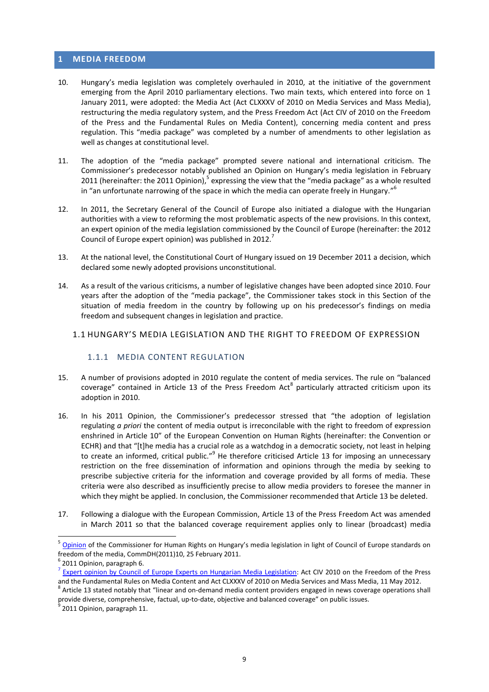## <span id="page-8-0"></span>**1 MEDIA FREEDOM**

- 10. Hungary's media legislation was completely overhauled in 2010, at the initiative of the government emerging from the April 2010 parliamentary elections. Two main texts, which entered into force on 1 January 2011, were adopted: the Media Act (Act CLXXXV of 2010 on Media Services and Mass Media), restructuring the media regulatory system, and the Press Freedom Act (Act CIV of 2010 on the Freedom of the Press and the Fundamental Rules on Media Content), concerning media content and press regulation. This "media package" was completed by a number of amendments to other legislation as well as changes at constitutional level.
- 11. The adoption of the "media package" prompted severe national and international criticism. The Commissioner's predecessor notably published an Opinion on Hungary's media legislation in February 2011 (hereinafter: the 2011 Opinion),<sup>5</sup> expressing the view that the "media package" as a whole resulted in "an unfortunate narrowing of the space in which the media can operate freely in Hungary."<sup>6</sup>
- 12. In 2011, the Secretary General of the Council of Europe also initiated a dialogue with the Hungarian authorities with a view to reforming the most problematic aspects of the new provisions. In this context, an expert opinion of the media legislation commissioned by the Council of Europe (hereinafter: the 2012 Council of Europe expert opinion) was published in 2012.<sup>7</sup>
- 13. At the national level, the Constitutional Court of Hungary issued on 19 December 2011 a decision, which declared some newly adopted provisions unconstitutional.
- 14. As a result of the various criticisms, a number of legislative changes have been adopted since 2010. Four years after the adoption of the "media package", the Commissioner takes stock in this Section of the situation of media freedom in the country by following up on his predecessor's findings on media freedom and subsequent changes in legislation and practice.

#### <span id="page-8-2"></span><span id="page-8-1"></span>1.1 HUNGARY'S MEDIA LEGISLATION AND THE RIGHT TO FREEDOM OF EXPRESSION

## 1.1.1 MEDIA CONTENT REGULATION

- 15. A number of provisions adopted in 2010 regulate the content of media services. The rule on "balanced coverage" contained in Article 13 of the Press Freedom Act<sup>8</sup> particularly attracted criticism upon its adoption in 2010.
- 16. In his 2011 Opinion, the Commissioner's predecessor stressed that "the adoption of legislation regulating *a priori* the content of media output is irreconcilable with the right to freedom of expression enshrined in Article 10" of the European Convention on Human Rights (hereinafter: the Convention or ECHR) and that "[t]he media has a crucial role as a watchdog in a democratic society, not least in helping to create an informed, critical public."<sup>9</sup> He therefore criticised Article 13 for imposing an unnecessary restriction on the free dissemination of information and opinions through the media by seeking to prescribe subjective criteria for the information and coverage provided by all forms of media. These criteria were also described as insufficiently precise to allow media providers to foresee the manner in which they might be applied. In conclusion, the Commissioner recommended that Article 13 be deleted.
- 17. Following a dialogue with the European Commission, Article 13 of the Press Freedom Act was amended in March 2011 so that the balanced coverage requirement applies only to linear (broadcast) media

<sup>&</sup>lt;sup>5</sup> [Opinion](https://wcd.coe.int/ViewDoc.jsp?id=1751289&Site=CommDH&BackColorInternet=FEC65B&BackColorIntranet=FEC65B&BackColorLogged=FFC679) of the Commissioner for Human Rights on Hungary's media legislation in light of Council of Europe standards on freedom of the media, CommDH(2011)10, 25 February 2011.

 $^6$  2011 Opinion, paragraph 6.

<sup>&</sup>lt;sup>7</sup> Expert opinion by Council of [Europe Experts on Hungarian Media Legislation:](http://www.coe.int/t/dghl/cooperation/media/publications/Hungary/Hungary%20Media%20Acts%20Analysis%20-%20Final%2014-05-2012%20(2).pdf) Act CIV 2010 on the Freedom of the Press and the Fundamental Rules on Media Content and Act CLXXXV of 2010 on Media Services and Mass Media, 11 May 2012.

 $^8$  Article 13 stated notably that "linear and on-demand media content providers engaged in news coverage operations shall provide diverse, comprehensive, factual, up-to-date, objective and balanced coverage" on public issues.<br>9 2011 Opinion, paragraph 11

<sup>2011</sup> Opinion, paragraph 11.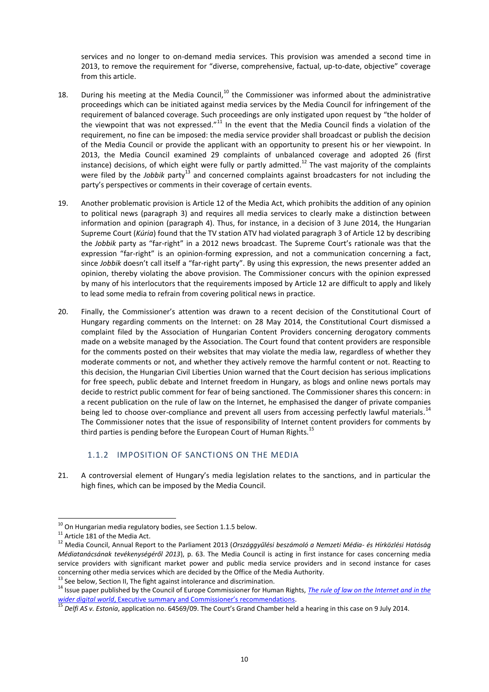services and no longer to on-demand media services. This provision was amended a second time in 2013, to remove the requirement for "diverse, comprehensive, factual, up-to-date, objective" coverage from this article.

- 18. During his meeting at the Media Council, $^{10}$  the Commissioner was informed about the administrative proceedings which can be initiated against media services by the Media Council for infringement of the requirement of balanced coverage. Such proceedings are only instigated upon request by "the holder of the viewpoint that was not expressed."<sup>11</sup> In the event that the Media Council finds a violation of the requirement, no fine can be imposed: the media service provider shall broadcast or publish the decision of the Media Council or provide the applicant with an opportunity to present his or her viewpoint. In 2013, the Media Council examined 29 complaints of unbalanced coverage and adopted 26 (first instance) decisions, of which eight were fully or partly admitted.<sup>12</sup> The vast majority of the complaints were filed by the *Jobbik* party<sup>13</sup> and concerned complaints against broadcasters for not including the party's perspectives or comments in their coverage of certain events.
- 19. Another problematic provision is Article 12 of the Media Act, which prohibits the addition of any opinion to political news (paragraph 3) and requires all media services to clearly make a distinction between information and opinion (paragraph 4). Thus, for instance, in a decision of 3 June 2014, the Hungarian Supreme Court (*Kúria*) found that the TV station ATV had violated paragraph 3 of Article 12 by describing the *Jobbik* party as "far-right" in a 2012 news broadcast. The Supreme Court's rationale was that the expression "far-right" is an opinion-forming expression, and not a communication concerning a fact, since *Jobbik* doesn't call itself a "far-right party". By using this expression, the news presenter added an opinion, thereby violating the above provision. The Commissioner concurs with the opinion expressed by many of his interlocutors that the requirements imposed by Article 12 are difficult to apply and likely to lead some media to refrain from covering political news in practice.
- 20. Finally, the Commissioner's attention was drawn to a recent decision of the Constitutional Court of Hungary regarding comments on the Internet: on 28 May 2014, the Constitutional Court dismissed a complaint filed by the Association of Hungarian Content Providers concerning derogatory comments made on a website managed by the Association. The Court found that content providers are responsible for the comments posted on their websites that may violate the media law, regardless of whether they moderate comments or not, and whether they actively remove the harmful content or not. Reacting to this decision, the Hungarian Civil Liberties Union warned that the Court decision has serious implications for free speech, public debate and Internet freedom in Hungary, as blogs and online news portals may decide to restrict public comment for fear of being sanctioned. The Commissioner shares this concern: in a recent publication on the rule of law on the Internet, he emphasised the danger of private companies being led to choose over-compliance and prevent all users from accessing perfectly lawful materials.<sup>14</sup> The Commissioner notes that the issue of responsibility of Internet content providers for comments by third parties is pending before the European Court of Human Rights.<sup>15</sup>

## <span id="page-9-0"></span>1.1.2 IMPOSITION OF SANCTIONS ON THE MEDIA

21. A controversial element of Hungary's media legislation relates to the sanctions, and in particular the high fines, which can be imposed by the Media Council.

 $^{10}$  On Hungarian media regulatory bodies, see Section 1.1.5 below.

<sup>&</sup>lt;sup>11</sup> Article 181 of the Media Act.

<sup>12</sup> Media Council, Annual Report to the Parliament 2013 (*Országgyűlési beszámoló a Nemzeti Média- és Hírközlési Hatóság Médiatanácsának tevékenységéről 2013*), p. 63. The Media Council is acting in first instance for cases concerning media service providers with significant market power and public media service providers and in second instance for cases concerning other media services which are decided by the Office of the Media Authority.

<sup>&</sup>lt;sup>13</sup> See below, Section II, The fight against intolerance and discrimination.

<sup>14</sup> Issue paper published by the Council of Europe Commissioner for Human Rights, *[The rule of law on the Internet and in the](https://wcd.coe.int/ViewDoc.jsp?id=2268589&Site=COE)  wider digital world*[, Executive summary and Commissioner's recommendations](https://wcd.coe.int/ViewDoc.jsp?id=2268589&Site=COE).

<sup>15</sup> *Delfi AS v. Estonia*, application no. 64569/09. The Court's Grand Chamber held a hearing in this case on 9 July 2014.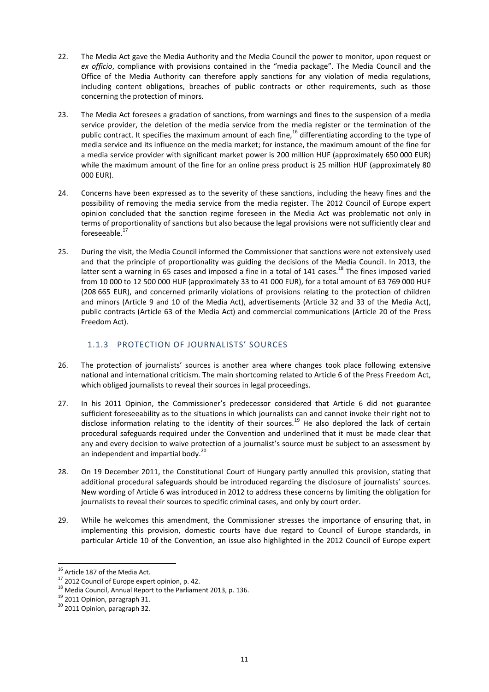- 22. The Media Act gave the Media Authority and the Media Council the power to monitor, upon request or *ex officio*, compliance with provisions contained in the "media package". The Media Council and the Office of the Media Authority can therefore apply sanctions for any violation of media regulations, including content obligations, breaches of public contracts or other requirements, such as those concerning the protection of minors.
- 23. The Media Act foresees a gradation of sanctions, from warnings and fines to the suspension of a media service provider, the deletion of the media service from the media register or the termination of the public contract. It specifies the maximum amount of each fine,<sup>16</sup> differentiating according to the type of media service and its influence on the media market; for instance, the maximum amount of the fine for a media service provider with significant market power is 200 million HUF (approximately 650 000 EUR) while the maximum amount of the fine for an online press product is 25 million HUF (approximately 80 000 EUR).
- 24. Concerns have been expressed as to the severity of these sanctions, including the heavy fines and the possibility of removing the media service from the media register. The 2012 Council of Europe expert opinion concluded that the sanction regime foreseen in the Media Act was problematic not only in terms of proportionality of sanctions but also because the legal provisions were not sufficiently clear and foreseeable.<sup>17</sup>
- 25. During the visit, the Media Council informed the Commissioner that sanctions were not extensively used and that the principle of proportionality was guiding the decisions of the Media Council. In 2013, the latter sent a warning in 65 cases and imposed a fine in a total of 141 cases.<sup>18</sup> The fines imposed varied from 10 000 to 12 500 000 HUF (approximately 33 to 41 000 EUR), for a total amount of 63 769 000 HUF (208 665 EUR), and concerned primarily violations of provisions relating to the protection of children and minors (Article 9 and 10 of the Media Act), advertisements (Article 32 and 33 of the Media Act), public contracts (Article 63 of the Media Act) and commercial communications (Article 20 of the Press Freedom Act).

## 1.1.3 PROTECTION OF JOURNALISTS' SOURCES

- <span id="page-10-0"></span>26. The protection of journalists' sources is another area where changes took place following extensive national and international criticism. The main shortcoming related to Article 6 of the Press Freedom Act, which obliged journalists to reveal their sources in legal proceedings.
- 27. In his 2011 Opinion, the Commissioner's predecessor considered that Article 6 did not guarantee sufficient foreseeability as to the situations in which journalists can and cannot invoke their right not to disclose information relating to the identity of their sources.<sup>19</sup> He also deplored the lack of certain procedural safeguards required under the Convention and underlined that it must be made clear that any and every decision to waive protection of a journalist's source must be subject to an assessment by an independent and impartial body.<sup>20</sup>
- 28. On 19 December 2011, the Constitutional Court of Hungary partly annulled this provision, stating that additional procedural safeguards should be introduced regarding the disclosure of journalists' sources. New wording of Article 6 was introduced in 2012 to address these concerns by limiting the obligation for journalists to reveal their sources to specific criminal cases, and only by court order.
- 29. While he welcomes this amendment, the Commissioner stresses the importance of ensuring that, in implementing this provision, domestic courts have due regard to Council of Europe standards, in particular Article 10 of the Convention, an issue also highlighted in the 2012 Council of Europe expert

<sup>&</sup>lt;sup>16</sup> Article 187 of the Media Act.

<sup>&</sup>lt;sup>17</sup> 2012 Council of Europe expert opinion, p. 42.

 $^{18}$  Media Council, Annual Report to the Parliament 2013, p. 136.

<sup>&</sup>lt;sup>19</sup> 2011 Opinion, paragraph 31.

<sup>&</sup>lt;sup>20</sup> 2011 Opinion, paragraph 32.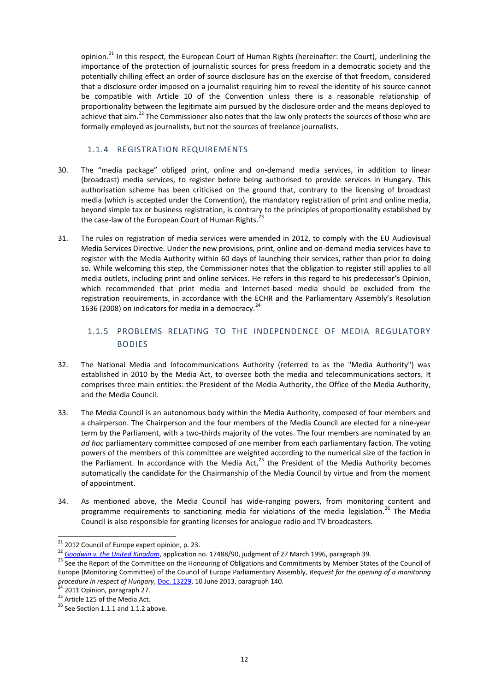opinion.<sup>21</sup> In this respect, the European Court of Human Rights (hereinafter: the Court), underlining the importance of the protection of journalistic sources for press freedom in a democratic society and the potentially chilling effect an order of source disclosure has on the exercise of that freedom, considered that a disclosure order imposed on a journalist requiring him to reveal the identity of his source cannot be compatible with Article 10 of the Convention unless there is a reasonable relationship of proportionality between the legitimate aim pursued by the disclosure order and the means deployed to achieve that aim.<sup>22</sup> The Commissioner also notes that the law only protects the sources of those who are formally employed as journalists, but not the sources of freelance journalists.

## 1.1.4 REGISTRATION REQUIREMENTS

- <span id="page-11-0"></span>30. The "media package" obliged print, online and on-demand media services, in addition to linear (broadcast) media services, to register before being authorised to provide services in Hungary. This authorisation scheme has been criticised on the ground that, contrary to the licensing of broadcast media (which is accepted under the Convention), the mandatory registration of print and online media, beyond simple tax or business registration, is contrary to the principles of proportionality established by the case-law of the European Court of Human Rights. $^{23}$
- 31. The rules on registration of media services were amended in 2012, to comply with the EU Audiovisual Media Services Directive. Under the new provisions, print, online and on-demand media services have to register with the Media Authority within 60 days of launching their services, rather than prior to doing so. While welcoming this step, the Commissioner notes that the obligation to register still applies to all media outlets, including print and online services. He refers in this regard to his predecessor's Opinion, which recommended that print media and Internet-based media should be excluded from the registration requirements, in accordance with the ECHR and the Parliamentary Assembly's Resolution 1636 (2008) on indicators for media in a democracy.<sup>24</sup>

# <span id="page-11-1"></span>1.1.5 PROBLEMS RELATING TO THE INDEPENDENCE OF MEDIA REGULATORY BODIES

- 32. The National Media and Infocommunications Authority (referred to as the "Media Authority") was established in 2010 by the Media Act, to oversee both the media and telecommunications sectors. It comprises three main entities: the President of the Media Authority, the Office of the Media Authority, and the Media Council.
- 33. The Media Council is an autonomous body within the Media Authority, composed of four members and a chairperson. The Chairperson and the four members of the Media Council are elected for a nine-year term by the Parliament, with a two-thirds majority of the votes. The four members are nominated by an *ad hoc* parliamentary committee composed of one member from each parliamentary faction. The voting powers of the members of this committee are weighted according to the numerical size of the faction in the Parliament. In accordance with the Media Act, $^{25}$  the President of the Media Authority becomes automatically the candidate for the Chairmanship of the Media Council by virtue and from the moment of appointment.
- 34. As mentioned above, the Media Council has wide-ranging powers, from monitoring content and programme requirements to sanctioning media for violations of the media legislation.<sup>26</sup> The Media Council is also responsible for granting licenses for analogue radio and TV broadcasters.

<sup>&</sup>lt;sup>21</sup> 2012 Council of Europe expert opinion, p. 23.

<sup>22</sup> *[Goodwin v. the United Kingdom](http://hudoc.echr.coe.int/sites/eng/pages/search.aspx?i=001-57974)*, application no. 17488/90, judgment of 27 March 1996, paragraph 39.

<sup>&</sup>lt;sup>23</sup> See the Report of the Committee on the Honouring of Obligations and Commitments by Member States of the Council of Europe (Monitoring Committee) of the Council of Europe Parliamentary Assembly, *Request for the opening of a monitoring procedure in respect of Hungary*, [Doc. 13229,](http://assembly.coe.int/ASP/XRef/X2H-DW-XSL.asp?fileid=19777&lang=en) 10 June 2013, paragraph 140.

 $24$  2011 Opinion, paragraph 27.

 $25$  Article 125 of the Media Act.

 $26$  See Section 1.1.1 and 1.1.2 above.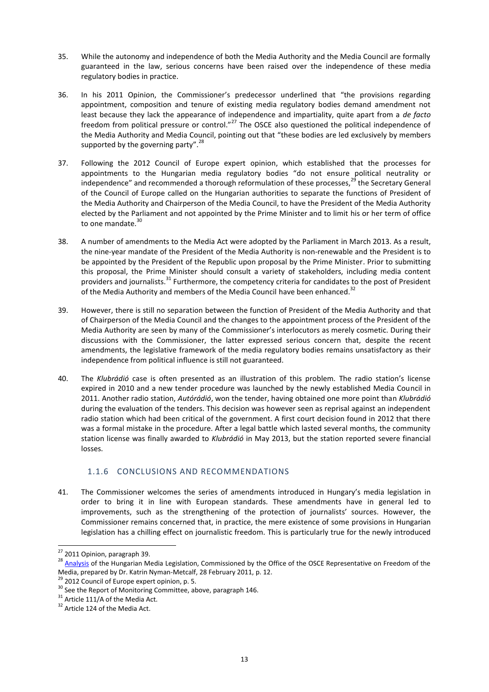- 35. While the autonomy and independence of both the Media Authority and the Media Council are formally guaranteed in the law, serious concerns have been raised over the independence of these media regulatory bodies in practice.
- 36. In his 2011 Opinion, the Commissioner's predecessor underlined that "the provisions regarding appointment, composition and tenure of existing media regulatory bodies demand amendment not least because they lack the appearance of independence and impartiality, quite apart from a *de facto* freedom from political pressure or control."<sup>27</sup> The OSCE also questioned the political independence of the Media Authority and Media Council, pointing out that "these bodies are led exclusively by members supported by the governing party". $28$
- 37. Following the 2012 Council of Europe expert opinion, which established that the processes for appointments to the Hungarian media regulatory bodies "do not ensure political neutrality or independence" and recommended a thorough reformulation of these processes,<sup>29</sup> the Secretary General of the Council of Europe called on the Hungarian authorities to separate the functions of President of the Media Authority and Chairperson of the Media Council, to have the President of the Media Authority elected by the Parliament and not appointed by the Prime Minister and to limit his or her term of office to one mandate.<sup>30</sup>
- 38. A number of amendments to the Media Act were adopted by the Parliament in March 2013. As a result, the nine-year mandate of the President of the Media Authority is non-renewable and the President is to be appointed by the President of the Republic upon proposal by the Prime Minister. Prior to submitting this proposal, the Prime Minister should consult a variety of stakeholders, including media content providers and journalists.<sup>31</sup> Furthermore, the competency criteria for candidates to the post of President of the Media Authority and members of the Media Council have been enhanced.<sup>32</sup>
- 39. However, there is still no separation between the function of President of the Media Authority and that of Chairperson of the Media Council and the changes to the appointment process of the President of the Media Authority are seen by many of the Commissioner's interlocutors as merely cosmetic. During their discussions with the Commissioner, the latter expressed serious concern that, despite the recent amendments, the legislative framework of the media regulatory bodies remains unsatisfactory as their independence from political influence is still not guaranteed.
- 40. The *Klubrádió* case is often presented as an illustration of this problem. The radio station's license expired in 2010 and a new tender procedure was launched by the newly established Media Council in 2011. Another radio station, *Autórádió*, won the tender, having obtained one more point than *Klubrádió* during the evaluation of the tenders. This decision was however seen as reprisal against an independent radio station which had been critical of the government. A first court decision found in 2012 that there was a formal mistake in the procedure. After a legal battle which lasted several months, the community station license was finally awarded to *Klubrádió* in May 2013, but the station reported severe financial losses.

# <span id="page-12-0"></span>1.1.6 CONCLUSIONS AND RECOMMENDATIONS

41. The Commissioner welcomes the series of amendments introduced in Hungary's media legislation in order to bring it in line with European standards. These amendments have in general led to improvements, such as the strengthening of the protection of journalists' sources. However, the Commissioner remains concerned that, in practice, the mere existence of some provisions in Hungarian legislation has a chilling effect on journalistic freedom. This is particularly true for the newly introduced

 $27$  2011 Opinion, paragraph 39.

<sup>28</sup> [Analysis](http://www.osce.org/fom/75990?download=true) of the Hungarian Media Legislation, Commissioned by the Office of the OSCE Representative on Freedom of the Media, prepared by Dr. Katrin Nyman-Metcalf, 28 February 2011, p. 12.

 $^{9}$  2012 Council of Europe expert opinion, p. 5.

 $30$  See the Report of Monitoring Committee, above, paragraph 146.

 $31$  Article 111/A of the Media Act.

<sup>&</sup>lt;sup>32</sup> Article 124 of the Media Act.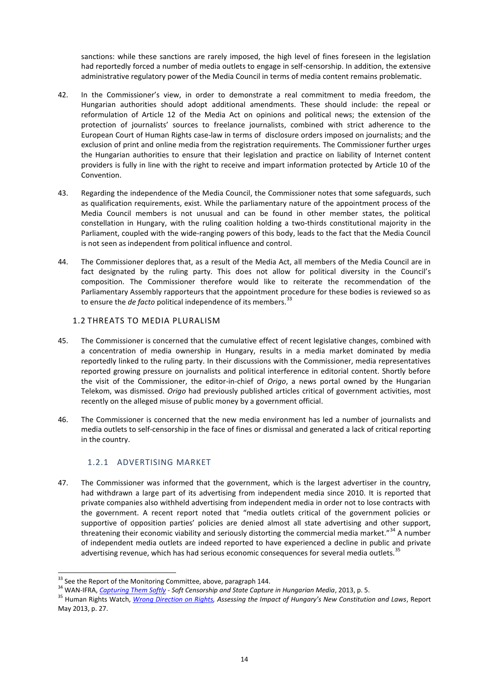sanctions: while these sanctions are rarely imposed, the high level of fines foreseen in the legislation had reportedly forced a number of media outlets to engage in self-censorship. In addition, the extensive administrative regulatory power of the Media Council in terms of media content remains problematic.

- 42. In the Commissioner's view, in order to demonstrate a real commitment to media freedom, the Hungarian authorities should adopt additional amendments. These should include: the repeal or reformulation of Article 12 of the Media Act on opinions and political news; the extension of the protection of journalists' sources to freelance journalists, combined with strict adherence to the European Court of Human Rights case-law in terms of disclosure orders imposed on journalists; and the exclusion of print and online media from the registration requirements. The Commissioner further urges the Hungarian authorities to ensure that their legislation and practice on liability of Internet content providers is fully in line with the right to receive and impart information protected by Article 10 of the Convention.
- 43. Regarding the independence of the Media Council, the Commissioner notes that some safeguards, such as qualification requirements, exist. While the parliamentary nature of the appointment process of the Media Council members is not unusual and can be found in other member states, the political constellation in Hungary, with the ruling coalition holding a two-thirds constitutional majority in the Parliament, coupled with the wide-ranging powers of this body, leads to the fact that the Media Council is not seen as independent from political influence and control.
- 44. The Commissioner deplores that, as a result of the Media Act, all members of the Media Council are in fact designated by the ruling party. This does not allow for political diversity in the Council's composition. The Commissioner therefore would like to reiterate the recommendation of the Parliamentary Assembly rapporteurs that the appointment procedure for these bodies is reviewed so as to ensure the *de facto* political independence of its members.<sup>33</sup>

### <span id="page-13-0"></span>1.2 THREATS TO MEDIA PLURALISM

- 45. The Commissioner is concerned that the cumulative effect of recent legislative changes, combined with a concentration of media ownership in Hungary, results in a media market dominated by media reportedly linked to the ruling party. In their discussions with the Commissioner, media representatives reported growing pressure on journalists and political interference in editorial content. Shortly before the visit of the Commissioner, the editor-in-chief of *Origo*, a news portal owned by the Hungarian Telekom, was dismissed. *Origo* had previously published articles critical of government activities, most recently on the alleged misuse of public money by a government official.
- <span id="page-13-1"></span>46. The Commissioner is concerned that the new media environment has led a number of journalists and media outlets to self-censorship in the face of fines or dismissal and generated a lack of critical reporting in the country.

## 1.2.1 ADVERTISING MARKET

47. The Commissioner was informed that the government, which is the largest advertiser in the country, had withdrawn a large part of its advertising from independent media since 2010. It is reported that private companies also withheld advertising from independent media in order not to lose contracts with the government. A recent report noted that "media outlets critical of the government policies or supportive of opposition parties' policies are denied almost all state advertising and other support, threatening their economic viability and seriously distorting the commercial media market."<sup>34</sup> A number of independent media outlets are indeed reported to have experienced a decline in public and private advertising revenue, which has had serious economic consequences for several media outlets.<sup>3</sup>

 $33$  See the Report of the Monitoring Committee, above, paragraph 144.

<sup>34</sup> WAN-IFRA, *[Capturing Them Softly](http://mertek.eu/sites/default/files/reports/soft_censorship_angol.pdf) - Soft Censorship and State Capture in Hungarian Media*, 2013, p. 5.

<sup>35</sup> Human Rights Watch, *[Wrong Direction on Rights](http://www.hrw.org/sites/default/files/reports/hungary0513_ForUpload.pdf), Assessing the Impact of Hungary's New Constitution and Laws*, Report May 2013, p. 27.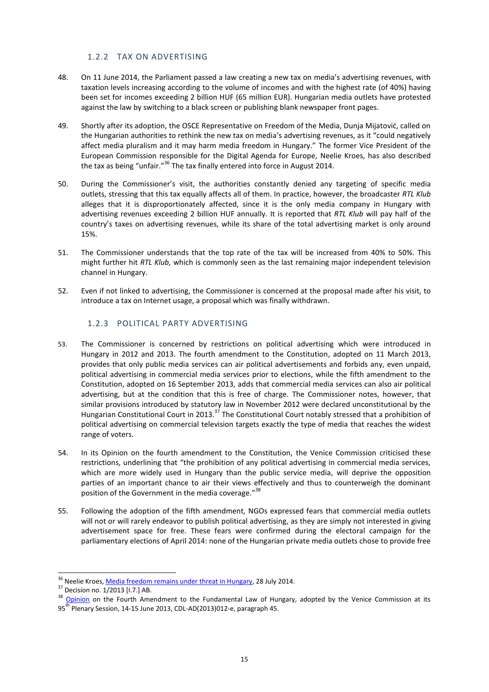## 1.2.2 TAX ON ADVERTISING

- <span id="page-14-0"></span>48. On 11 June 2014, the Parliament passed a law creating a new tax on media's advertising revenues, with taxation levels increasing according to the volume of incomes and with the highest rate (of 40%) having been set for incomes exceeding 2 billion HUF (65 million EUR). Hungarian media outlets have protested against the law by switching to a black screen or publishing blank newspaper front pages.
- 49. Shortly after its adoption, the OSCE Representative on Freedom of the Media, Dunja Mijatović, called on the Hungarian authorities to rethink the new tax on media's advertising revenues, as it "could negatively affect media pluralism and it may harm media freedom in Hungary." The former Vice President of the European Commission responsible for the Digital Agenda for Europe, Neelie Kroes, has also described the tax as being "unfair."<sup>36</sup> The tax finally entered into force in August 2014.
- 50. During the Commissioner's visit, the authorities constantly denied any targeting of specific media outlets, stressing that this tax equally affects all of them. In practice, however, the broadcaster *RTL Klub* alleges that it is disproportionately affected, since it is the only media company in Hungary with advertising revenues exceeding 2 billion HUF annually. It is reported that *RTL Klub* will pay half of the country's taxes on advertising revenues, while its share of the total advertising market is only around 15%.
- 51. The Commissioner understands that the top rate of the tax will be increased from 40% to 50%. This might further hit *RTL Klub,* which is commonly seen as the last remaining major independent television channel in Hungary.
- <span id="page-14-1"></span>52. Even if not linked to advertising, the Commissioner is concerned at the proposal made after his visit, to introduce a tax on Internet usage, a proposal which was finally withdrawn.

## 1.2.3 POLITICAL PARTY ADVERTISING

- 53. The Commissioner is concerned by restrictions on political advertising which were introduced in Hungary in 2012 and 2013. The fourth amendment to the Constitution, adopted on 11 March 2013, provides that only public media services can air political advertisements and forbids any, even unpaid, political advertising in commercial media services prior to elections, while the fifth amendment to the Constitution, adopted on 16 September 2013, adds that commercial media services can also air political advertising, but at the condition that this is free of charge. The Commissioner notes, however, that similar provisions introduced by statutory law in November 2012 were declared unconstitutional by the Hungarian Constitutional Court in 2013.<sup>37</sup> The Constitutional Court notably stressed that a prohibition of political advertising on commercial television targets exactly the type of media that reaches the widest range of voters.
- 54. In its Opinion on the fourth amendment to the Constitution, the Venice Commission criticised these restrictions, underlining that "the prohibition of any political advertising in commercial media services, which are more widely used in Hungary than the public service media, will deprive the opposition parties of an important chance to air their views effectively and thus to counterweigh the dominant position of the Government in the media coverage."<sup>38</sup>
- 55. Following the adoption of the fifth amendment, NGOs expressed fears that commercial media outlets will not or will rarely endeavor to publish political advertising, as they are simply not interested in giving advertisement space for free. These fears were confirmed during the electoral campaign for the parliamentary elections of April 2014: none of the Hungarian private media outlets chose to provide free

 $\overline{a}$ <sup>36</sup> Neelie Kroes, <u>Media freedom remains under threat in Hungary</u>, 28 July 2014.

<sup>37</sup> Decision no. 1/2013 [I.7.] AB.

<sup>38</sup> [Opinion](http://www.venice.coe.int/webforms/documents/default.aspx?pdffile=CDL-AD(2013)012-e) on the Fourth Amendment to the Fundamental Law of Hungary, adopted by the Venice Commission at its 95<sup>th</sup> Plenary Session, 14-15 June 2013, CDL-AD(2013)012-e, paragraph 45.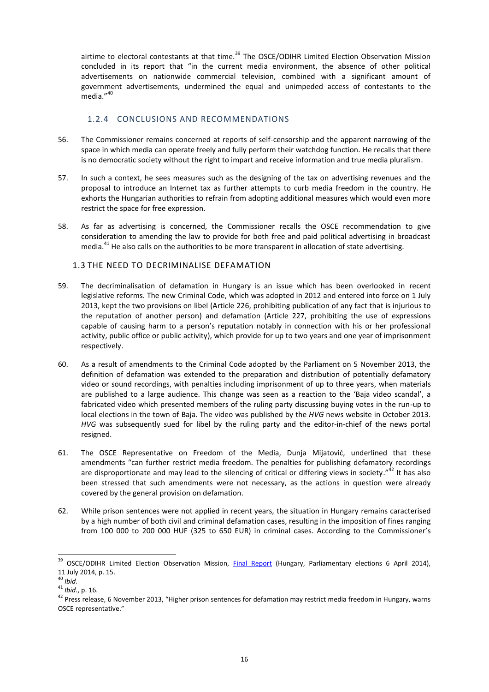airtime to electoral contestants at that time.<sup>39</sup> The OSCE/ODIHR Limited Election Observation Mission concluded in its report that "in the current media environment, the absence of other political advertisements on nationwide commercial television, combined with a significant amount of government advertisements, undermined the equal and unimpeded access of contestants to the media." 40

## 1.2.4 CONCLUSIONS AND RECOMMENDATIONS

- <span id="page-15-0"></span>56. The Commissioner remains concerned at reports of self-censorship and the apparent narrowing of the space in which media can operate freely and fully perform their watchdog function. He recalls that there is no democratic society without the right to impart and receive information and true media pluralism.
- 57. In such a context, he sees measures such as the designing of the tax on advertising revenues and the proposal to introduce an Internet tax as further attempts to curb media freedom in the country. He exhorts the Hungarian authorities to refrain from adopting additional measures which would even more restrict the space for free expression.
- 58. As far as advertising is concerned, the Commissioner recalls the OSCE recommendation to give consideration to amending the law to provide for both free and paid political advertising in broadcast media.<sup>41</sup> He also calls on the authorities to be more transparent in allocation of state advertising.

## <span id="page-15-1"></span>1.3 THE NEED TO DECRIMINALISE DEFAMATION

- 59. The decriminalisation of defamation in Hungary is an issue which has been overlooked in recent legislative reforms. The new Criminal Code, which was adopted in 2012 and entered into force on 1 July 2013, kept the two provisions on libel (Article 226, prohibiting publication of any fact that is injurious to the reputation of another person) and defamation (Article 227, prohibiting the use of expressions capable of causing harm to a person's reputation notably in connection with his or her professional activity, public office or public activity), which provide for up to two years and one year of imprisonment respectively.
- 60. As a result of amendments to the Criminal Code adopted by the Parliament on 5 November 2013, the definition of defamation was extended to the preparation and distribution of potentially defamatory video or sound recordings, with penalties including imprisonment of up to three years, when materials are published to a large audience. This change was seen as a reaction to the 'Baja video scandal', a fabricated video which presented members of the ruling party discussing buying votes in the run-up to local elections in the town of Baja. The video was published by the *HVG* news website in October 2013. *HVG* was subsequently sued for libel by the ruling party and the editor-in-chief of the news portal resigned.
- 61. The OSCE Representative on Freedom of the Media, Dunja Mijatović, underlined that these amendments "can further restrict media freedom. The penalties for publishing defamatory recordings are disproportionate and may lead to the silencing of critical or differing views in society."<sup>42</sup> It has also been stressed that such amendments were not necessary, as the actions in question were already covered by the general provision on defamation.
- 62. While prison sentences were not applied in recent years, the situation in Hungary remains caracterised by a high number of both civil and criminal defamation cases, resulting in the imposition of fines ranging from 100 000 to 200 000 HUF (325 to 650 EUR) in criminal cases. According to the Commissioner's

<sup>&</sup>lt;sup>39</sup> OSCE/ODIHR Limited Election Observation Mission, [Final Report](http://www.osce.org/odihr/elections/hungary/121098?download=true) (Hungary, Parliamentary elections 6 April 2014), 11 July 2014, p. 15.

<sup>40</sup> *Ibid*.

<sup>41</sup> *Ibid*., p. 16.

<sup>42</sup> Press release, 6 November 2013, "Higher prison sentences for defamation may restrict media freedom in Hungary, warns OSCE representative."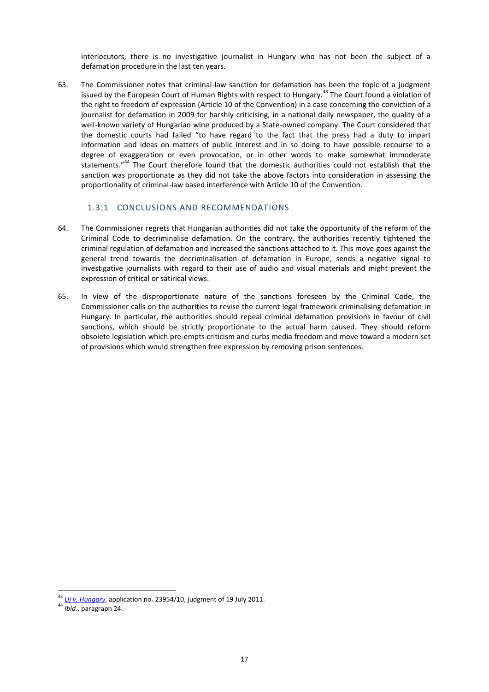interlocutors, there is no investigative journalist in Hungary who has not been the subject of a defamation procedure in the last ten years.

63. The Commissioner notes that criminal-law sanction for defamation has been the topic of a judgment issued by the European Court of Human Rights with respect to Hungary.<sup>43</sup> The Court found a violation of the right to freedom of expression (Article 10 of the Convention) in a case concerning the conviction of a iournalist for defamation in 2009 for harshly criticising, in a national daily newspaper, the quality of a well-known variety of Hungarian wine produced by a State-owned company. The Court considered that the domestic courts had failed "to have regard to the fact that the press had a duty to impart information and ideas on matters of public interest and in so doing to have possible recourse to a degree of exaggeration or even provocation, or in other words to make somewhat immoderate statements."<sup>44</sup> The Court therefore found that the domestic authorities could not establish that the sanction was proportionate as they did not take the above factors into consideration in assessing the proportionality of criminal-law based interference with Article 10 of the Convention.

## 1.3.1 CONCLUSIONS AND RECOMMENDATIONS

- <span id="page-16-0"></span>64. The Commissioner regrets that Hungarian authorities did not take the opportunity of the reform of the Criminal Code to decriminalise defamation. On the contrary, the authorities recently tightened the criminal regulation of defamation and increased the sanctions attached to it. This move goes against the general trend towards the decriminalisation of defamation in Europe, sends a negative signal to investigative journalists with regard to their use of audio and visual materials and might prevent the expression of critical or satirical views.
- 65. In view of the disproportionate nature of the sanctions foreseen by the Criminal Code, the Commissioner calls on the authorities to revise the current legal framework criminalising defamation in Hungary. In particular, the authorities should repeal criminal defamation provisions in favour of civil sanctions, which should be strictly proportionate to the actual harm caused. They should reform obsolete legislation which pre-empts criticism and curbs media freedom and move toward a modern set of provisions which would strengthen free expression by removing prison sentences.

<sup>43</sup> *[Uj v. Hungary](http://hudoc.echr.coe.int/sites/eng/pages/search.aspx?i=001-105715)*, application no. 23954/10, judgment of 19 July 2011.

<sup>44</sup> *Ibid*., paragraph 24.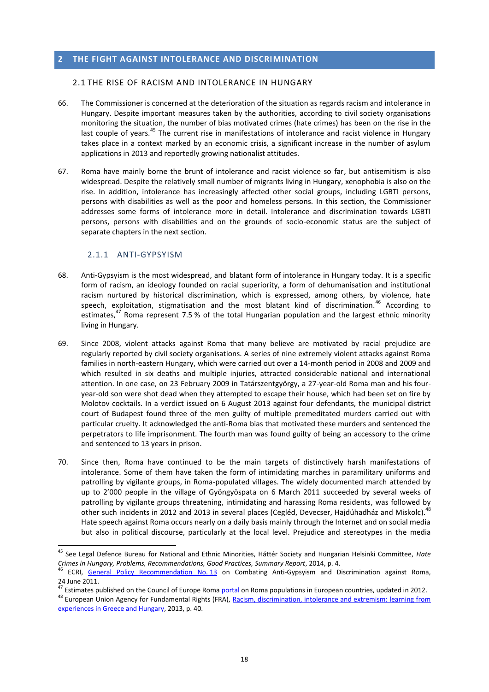## <span id="page-17-1"></span><span id="page-17-0"></span>**2 THE FIGHT AGAINST INTOLERANCE AND DISCRIMINATION**

#### 2.1 THE RISE OF RACISM AND INTOLERANCE IN HUNGARY

- 66. The Commissioner is concerned at the deterioration of the situation as regards racism and intolerance in Hungary. Despite important measures taken by the authorities, according to civil society organisations monitoring the situation, the number of bias motivated crimes (hate crimes) has been on the rise in the last couple of years.<sup>45</sup> The current rise in manifestations of intolerance and racist violence in Hungary takes place in a context marked by an economic crisis, a significant increase in the number of asylum applications in 2013 and reportedly growing nationalist attitudes.
- 67. Roma have mainly borne the brunt of intolerance and racist violence so far, but antisemitism is also widespread. Despite the relatively small number of migrants living in Hungary, xenophobia is also on the rise. In addition, intolerance has increasingly affected other social groups, including LGBTI persons, persons with disabilities as well as the poor and homeless persons. In this section, the Commissioner addresses some forms of intolerance more in detail. Intolerance and discrimination towards LGBTI persons, persons with disabilities and on the grounds of socio-economic status are the subject of separate chapters in the next section.

#### 2.1.1 ANTI-GYPSYISM

- <span id="page-17-2"></span>68. Anti-Gypsyism is the most widespread, and blatant form of intolerance in Hungary today. It is a specific form of racism, an ideology founded on racial superiority, a form of dehumanisation and institutional racism nurtured by historical discrimination, which is expressed, among others, by violence, hate speech, exploitation, stigmatisation and the most blatant kind of discrimination.<sup>46</sup> According to estimates,<sup>47</sup> Roma represent 7.5 % of the total Hungarian population and the largest ethnic minority living in Hungary.
- 69. Since 2008, violent attacks against Roma that many believe are motivated by racial prejudice are regularly reported by civil society organisations. A series of nine extremely violent attacks against Roma families in north-eastern Hungary, which were carried out over a 14-month period in 2008 and 2009 and which resulted in six deaths and multiple injuries, attracted considerable national and international attention. In one case, on 23 February 2009 in Tatárszentgyörgy, a 27-year-old Roma man and his fouryear-old son were shot dead when they attempted to escape their house, which had been set on fire by Molotov cocktails. In a verdict issued on 6 August 2013 against four defendants, the municipal district court of Budapest found three of the men guilty of multiple premeditated murders carried out with particular cruelty. It acknowledged the anti-Roma bias that motivated these murders and sentenced the perpetrators to life imprisonment. The fourth man was found guilty of being an accessory to the crime and sentenced to 13 years in prison.
- 70. Since then, Roma have continued to be the main targets of distinctively harsh manifestations of intolerance. Some of them have taken the form of intimidating marches in paramilitary uniforms and patrolling by vigilante groups, in Roma-populated villages. The widely documented march attended by up to 2'000 people in the village of Gyöngyöspata on 6 March 2011 succeeded by several weeks of patrolling by vigilante groups threatening, intimidating and harassing Roma residents, was followed by other such incidents in 2012 and 2013 in several places (Cegléd, Devecser, Hajdúhadház and Miskolc).<sup>48</sup> Hate speech against Roma occurs nearly on a daily basis mainly through the Internet and on social media but also in political discourse, particularly at the local level. Prejudice and stereotypes in the media

<sup>45</sup> See Legal Defence Bureau for National and Ethnic Minorities, Háttér Society and Hungarian Helsinki Committee, *Hate Crimes in Hungary, Problems, Recommendations, Good Practices, Summary Report*, 2014, p. 4.

<sup>&</sup>lt;sup>46</sup> ECRI, **[General Policy Recommendation No.](http://www.coe.int/t/dghl/monitoring/ecri/activities/GPR/EN/Recommendation_N13/default_en.asp) 13** on Combating Anti-Gypsyism and Discrimination against Roma, 24 June 2011.

<sup>&</sup>lt;sup>47</sup> Estimates published on the Council of Europe Roma [portal](http://www.coe.int/en/web/portal/roma) on Roma populations in European countries, updated in 2012.

<sup>48</sup> European Union Agency for Fundamental Rights (FRA), Racism, discrimination, intolerance and extremism: learning from [experiences in Greece and Hungary,](http://fra.europa.eu/en/publication/2013/racism-discrimination-intolerance-and-extremism-learning-experiences-greece-and) 2013, p. 40.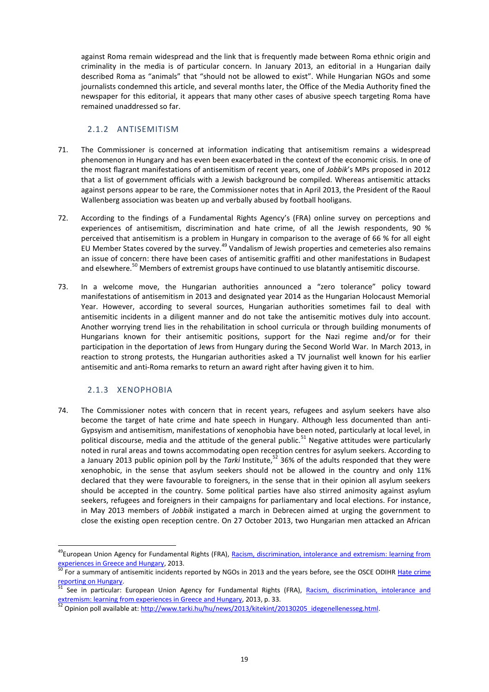against Roma remain widespread and the link that is frequently made between Roma ethnic origin and criminality in the media is of particular concern. In January 2013, an editorial in a Hungarian daily described Roma as "animals" that "should not be allowed to exist". While Hungarian NGOs and some journalists condemned this article, and several months later, the Office of the Media Authority fined the newspaper for this editorial, it appears that many other cases of abusive speech targeting Roma have remained unaddressed so far.

## 2.1.2 ANTISEMITISM

- <span id="page-18-0"></span>71. The Commissioner is concerned at information indicating that antisemitism remains a widespread phenomenon in Hungary and has even been exacerbated in the context of the economic crisis. In one of the most flagrant manifestations of antisemitism of recent years, one of *Jobbik*'s MPs proposed in 2012 that a list of government officials with a Jewish background be compiled. Whereas antisemitic attacks against persons appear to be rare, the Commissioner notes that in April 2013, the President of the Raoul Wallenberg association was beaten up and verbally abused by football hooligans.
- 72. According to the findings of a Fundamental Rights Agency's (FRA) online survey on perceptions and experiences of antisemitism, discrimination and hate crime, of all the Jewish respondents, 90 % perceived that antisemitism is a problem in Hungary in comparison to the average of 66 % for all eight EU Member States covered by the survey.<sup>49</sup> Vandalism of Jewish properties and cemeteries also remains an issue of concern: there have been cases of antisemitic graffiti and other manifestations in Budapest and elsewhere.<sup>50</sup> Members of extremist groups have continued to use blatantly antisemitic discourse.
- 73. In a welcome move, the Hungarian authorities announced a "zero tolerance" policy toward manifestations of antisemitism in 2013 and designated year 2014 as the Hungarian Holocaust Memorial Year. However, according to several sources, Hungarian authorities sometimes fail to deal with antisemitic incidents in a diligent manner and do not take the antisemitic motives duly into account. Another worrying trend lies in the rehabilitation in school curricula or through building monuments of Hungarians known for their antisemitic positions, support for the Nazi regime and/or for their participation in the deportation of Jews from Hungary during the Second World War. In March 2013, in reaction to strong protests, the Hungarian authorities asked a TV journalist well known for his earlier antisemitic and anti-Roma remarks to return an award right after having given it to him.

# <span id="page-18-1"></span>2.1.3 XENOPHOBIA

 $\overline{a}$ 

74. The Commissioner notes with concern that in recent years, refugees and asylum seekers have also become the target of hate crime and hate speech in Hungary. Although less documented than anti-Gypsyism and antisemitism, manifestations of xenophobia have been noted, particularly at local level, in political discourse, media and the attitude of the general public.<sup>51</sup> Negative attitudes were particularly noted in rural areas and towns accommodating open reception centres for asylum seekers. According to a January 2013 public opinion poll by the *Tarki* Institute,<sup>52</sup> 36% of the adults responded that they were xenophobic, in the sense that asylum seekers should not be allowed in the country and only 11% declared that they were favourable to foreigners, in the sense that in their opinion all asylum seekers should be accepted in the country. Some political parties have also stirred animosity against asylum seekers, refugees and foreigners in their campaigns for parliamentary and local elections. For instance, in May 2013 members of *Jobbik* instigated a march in Debrecen aimed at urging the government to close the existing open reception centre. On 27 October 2013, two Hungarian men attacked an African

<sup>&</sup>lt;sup>49</sup>European Union Agency for Fundamental Rights (FRA), Racism, discrimination, intolerance and extremism: learning from [experiences in Greece and Hungary,](http://fra.europa.eu/en/publication/2013/racism-discrimination-intolerance-and-extremism-learning-experiences-greece-and) 2013.

<sup>&</sup>lt;sup>50</sup> For a summary of antisemitic incidents reported by NGOs in 2013 and the years before, see the OSCE ODIHR Hate crime [reporting on Hungary.](http://hatecrime.osce.org/hungary?year=2013)

See in particular: European Union Agency for Fundamental Rights (FRA), Racism, discrimination, intolerance and [extremism: learning from experiences in Greece and Hungary,](http://fra.europa.eu/en/publication/2013/racism-discrimination-intolerance-and-extremism-learning-experiences-greece-and) 2013, p. 33.

<sup>&</sup>lt;sup>52</sup> Opinion poll available at[: http://www.tarki.hu/hu/news/2013/kitekint/20130205\\_idegenellenesseg.html.](http://www.tarki.hu/hu/news/2013/kitekint/20130205_idegenellenesseg.html)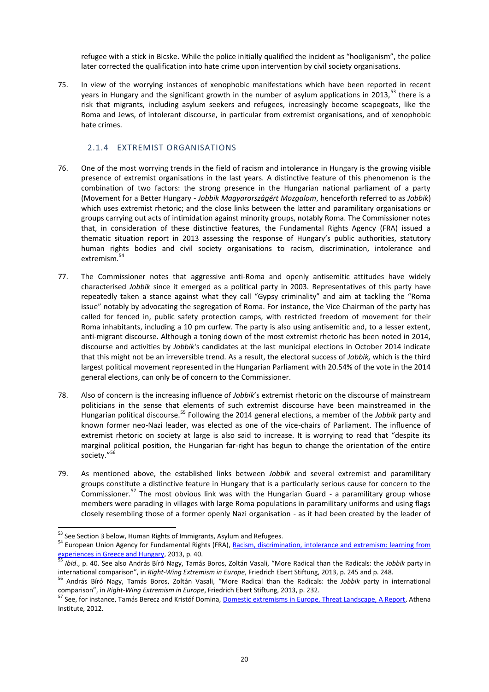refugee with a stick in Bicske. While the police initially qualified the incident as "hooliganism", the police later corrected the qualification into hate crime upon intervention by civil society organisations.

75. In view of the worrying instances of xenophobic manifestations which have been reported in recent years in Hungary and the significant growth in the number of asylum applications in 2013,  $53$  there is a risk that migrants, including asylum seekers and refugees, increasingly become scapegoats, like the Roma and Jews, of intolerant discourse, in particular from extremist organisations, and of xenophobic hate crimes.

## 2.1.4 EXTREMIST ORGANISATIONS

- <span id="page-19-0"></span>76. One of the most worrying trends in the field of racism and intolerance in Hungary is the growing visible presence of extremist organisations in the last years. A distinctive feature of this phenomenon is the combination of two factors: the strong presence in the Hungarian national parliament of a party (Movement for a Better Hungary - *Jobbik Magyarországért Mozgalom*, henceforth referred to as *Jobbik*) which uses extremist rhetoric; and the close links between the latter and paramilitary organisations or groups carrying out acts of intimidation against minority groups, notably Roma. The Commissioner notes that, in consideration of these distinctive features, the Fundamental Rights Agency (FRA) issued a thematic situation report in 2013 assessing the response of Hungary's public authorities, statutory human rights bodies and civil society organisations to racism, discrimination, intolerance and extremism. 54
- 77. The Commissioner notes that aggressive anti-Roma and openly antisemitic attitudes have widely characterised *Jobbik* since it emerged as a political party in 2003. Representatives of this party have repeatedly taken a stance against what they call "Gypsy criminality" and aim at tackling the "Roma issue" notably by advocating the segregation of Roma. For instance, the Vice Chairman of the party has called for fenced in, public safety protection camps, with restricted freedom of movement for their Roma inhabitants, including a 10 pm curfew. The party is also using antisemitic and, to a lesser extent, anti-migrant discourse. Although a toning down of the most extremist rhetoric has been noted in 2014, discourse and activities by *Jobbik*'s candidates at the last municipal elections in October 2014 indicate that this might not be an irreversible trend. As a result, the electoral success of *Jobbik,* which is the third largest political movement represented in the Hungarian Parliament with 20.54% of the vote in the 2014 general elections, can only be of concern to the Commissioner.
- 78. Also of concern is the increasing influence of *Jobbik*'s extremist rhetoric on the discourse of mainstream politicians in the sense that elements of such extremist discourse have been mainstreamed in the Hungarian political discourse.<sup>55</sup> Following the 2014 general elections, a member of the *Jobbik* party and known former neo-Nazi leader, was elected as one of the vice-chairs of Parliament. The influence of extremist rhetoric on society at large is also said to increase. It is worrying to read that "despite its marginal political position, the Hungarian far-right has begun to change the orientation of the entire society."<sup>56</sup>
- 79. As mentioned above, the established links between *Jobbik* and several extremist and paramilitary groups constitute a distinctive feature in Hungary that is a particularly serious cause for concern to the Commissioner. $57$  The most obvious link was with the Hungarian Guard - a paramilitary group whose members were parading in villages with large Roma populations in paramilitary uniforms and using flags closely resembling those of a former openly Nazi organisation - as it had been created by the leader of

 $53$  See Section 3 below, Human Rights of Immigrants, Asylum and Refugees.

<sup>&</sup>lt;sup>54</sup> European Union Agency for Fundamental Rights (FRA), Racism, discrimination, intolerance and extremism: learning from [experiences in Greece and Hungary,](http://fra.europa.eu/en/publication/2013/racism-discrimination-intolerance-and-extremism-learning-experiences-greece-and) 2013, p. 40.

<sup>55</sup> *Ibid*., p. 40. See also András Bíró Nagy, Tamás Boros, Zoltán Vasali, "More Radical than the Radicals: the *Jobbik* party in international comparison", in *Right-Wing Extremism in Europe*, Friedrich Ebert Stiftung, 2013, p. 245 and p. 248.

<sup>&</sup>lt;sup>5</sup> András Bíró Nagy, Tamás Boros, Zoltán Vasali, "More Radical than the Radicals: the *Jobbik* party in international comparison", in *Right-Wing Extremism in Europe*, Friedrich Ebert Stiftung, 2013, p. 232.

<sup>&</sup>lt;sup>57</sup> See, for instance, Tamás Berecz and Kristóf Domina, <u>Domestic extremisms in Europe, Threat Landscape, A Report</u>, Athena Institute, 2012.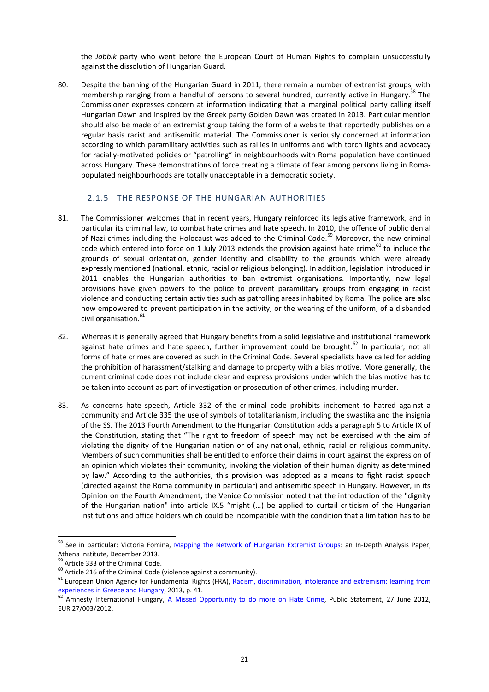the *Jobbik* party who went before the European Court of Human Rights to complain unsuccessfully against the dissolution of Hungarian Guard.

80. Despite the banning of the Hungarian Guard in 2011, there remain a number of extremist groups, with membership ranging from a handful of persons to several hundred, currently active in Hungary.<sup>58</sup> The Commissioner expresses concern at information indicating that a marginal political party calling itself Hungarian Dawn and inspired by the Greek party Golden Dawn was created in 2013. Particular mention should also be made of an extremist group taking the form of a website that reportedly publishes on a regular basis racist and antisemitic material. The Commissioner is seriously concerned at information according to which paramilitary activities such as rallies in uniforms and with torch lights and advocacy for racially-motivated policies or "patrolling" in neighbourhoods with Roma population have continued across Hungary. These demonstrations of force creating a climate of fear among persons living in Romapopulated neighbourhoods are totally unacceptable in a democratic society.

## <span id="page-20-0"></span>2.1.5 THE RESPONSE OF THE HUNGARIAN AUTHORITIES

- 81. The Commissioner welcomes that in recent years, Hungary reinforced its legislative framework, and in particular its criminal law, to combat hate crimes and hate speech. In 2010, the offence of public denial of Nazi crimes including the Holocaust was added to the Criminal Code.<sup>59</sup> Moreover, the new criminal code which entered into force on 1 July 2013 extends the provision against hate crime<sup>60</sup> to include the grounds of sexual orientation, gender identity and disability to the grounds which were already expressly mentioned (national, ethnic, racial or religious belonging). In addition, legislation introduced in 2011 enables the Hungarian authorities to ban extremist organisations. Importantly, new legal provisions have given powers to the police to prevent paramilitary groups from engaging in racist violence and conducting certain activities such as patrolling areas inhabited by Roma. The police are also now empowered to prevent participation in the activity, or the wearing of the uniform, of a disbanded civil organisation.<sup>61</sup>
- 82. Whereas it is generally agreed that Hungary benefits from a solid legislative and institutional framework against hate crimes and hate speech, further improvement could be brought.<sup>62</sup> In particular, not all forms of hate crimes are covered as such in the Criminal Code. Several specialists have called for adding the prohibition of harassment/stalking and damage to property with a bias motive. More generally, the current criminal code does not include clear and express provisions under which the bias motive has to be taken into account as part of investigation or prosecution of other crimes, including murder.
- 83. As concerns hate speech, Article 332 of the criminal code prohibits incitement to hatred against a community and Article 335 the use of symbols of totalitarianism, including the swastika and the insignia of the SS. The 2013 Fourth Amendment to the Hungarian Constitution adds a paragraph 5 to Article IX of the Constitution, stating that "The right to freedom of speech may not be exercised with the aim of violating the dignity of the Hungarian nation or of any national, ethnic, racial or religious community. Members of such communities shall be entitled to enforce their claims in court against the expression of an opinion which violates their community, invoking the violation of their human dignity as determined by law." According to the authorities, this provision was adopted as a means to fight racist speech (directed against the Roma community in particular) and antisemitic speech in Hungary. However, in its Opinion on the Fourth Amendment, the Venice Commission noted that the introduction of the "dignity of the Hungarian nation" into article IX.5 "might (…) be applied to curtail criticism of the Hungarian institutions and office holders which could be incompatible with the condition that a limitation has to be

<sup>&</sup>lt;sup>58</sup> See in particular: Victoria Fomina, *Mapping the Network of Hungarian Extremist Groups*: an In-Depth Analysis Paper, Athena Institute, December 2013.

 $<sup>9</sup>$  Article 333 of the Criminal Code.</sup>

 $60$  Article 216 of the Criminal Code (violence against a community).

<sup>&</sup>lt;sup>61</sup> European Union Agency for Fundamental Rights (FRA), Racism, discrimination, intolerance and extremism: learning from [experiences in Greece and Hungary,](http://fra.europa.eu/en/publication/2013/racism-discrimination-intolerance-and-extremism-learning-experiences-greece-and) 2013, p. 41.

<sup>62</sup> Amnesty International Hungary, [A Missed Opportunity to do more on Hate Crime,](http://www.amnesty.org/en/library/asset/EUR27/003/2012/en/8afaf662-b3c7-4a7e-aa66-f70c3a22f084/eur270032012en.html) Public Statement, 27 June 2012, EUR 27/003/2012.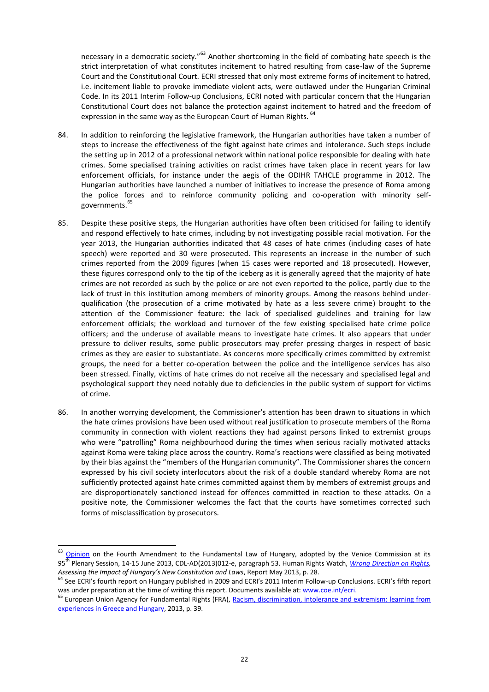necessary in a democratic society."<sup>63</sup> Another shortcoming in the field of combating hate speech is the strict interpretation of what constitutes incitement to hatred resulting from case-law of the Supreme Court and the Constitutional Court. ECRI stressed that only most extreme forms of incitement to hatred, i.e. incitement liable to provoke immediate violent acts, were outlawed under the Hungarian Criminal Code. In its 2011 Interim Follow-up Conclusions, ECRI noted with particular concern that the Hungarian Constitutional Court does not balance the protection against incitement to hatred and the freedom of expression in the same way as the European Court of Human Rights. <sup>64</sup>

- 84. In addition to reinforcing the legislative framework, the Hungarian authorities have taken a number of steps to increase the effectiveness of the fight against hate crimes and intolerance. Such steps include the setting up in 2012 of a professional network within national police responsible for dealing with hate crimes. Some specialised training activities on racist crimes have taken place in recent years for law enforcement officials, for instance under the aegis of the ODIHR TAHCLE programme in 2012. The Hungarian authorities have launched a number of initiatives to increase the presence of Roma among the police forces and to reinforce community policing and co-operation with minority selfgovernments.<sup>65</sup>
- 85. Despite these positive steps, the Hungarian authorities have often been criticised for failing to identify and respond effectively to hate crimes, including by not investigating possible racial motivation. For the year 2013, the Hungarian authorities indicated that 48 cases of hate crimes (including cases of hate speech) were reported and 30 were prosecuted. This represents an increase in the number of such crimes reported from the 2009 figures (when 15 cases were reported and 18 prosecuted). However, these figures correspond only to the tip of the iceberg as it is generally agreed that the majority of hate crimes are not recorded as such by the police or are not even reported to the police, partly due to the lack of trust in this institution among members of minority groups. Among the reasons behind underqualification (the prosecution of a crime motivated by hate as a less severe crime) brought to the attention of the Commissioner feature: the lack of specialised guidelines and training for law enforcement officials; the workload and turnover of the few existing specialised hate crime police officers; and the underuse of available means to investigate hate crimes. It also appears that under pressure to deliver results, some public prosecutors may prefer pressing charges in respect of basic crimes as they are easier to substantiate. As concerns more specifically crimes committed by extremist groups, the need for a better co-operation between the police and the intelligence services has also been stressed. Finally, victims of hate crimes do not receive all the necessary and specialised legal and psychological support they need notably due to deficiencies in the public system of support for victims of crime.
- 86. In another worrying development, the Commissioner's attention has been drawn to situations in which the hate crimes provisions have been used without real justification to prosecute members of the Roma community in connection with violent reactions they had against persons linked to extremist groups who were "patrolling" Roma neighbourhood during the times when serious racially motivated attacks against Roma were taking place across the country. Roma's reactions were classified as being motivated by their bias against the "members of the Hungarian community". The Commissioner shares the concern expressed by his civil society interlocutors about the risk of a double standard whereby Roma are not sufficiently protected against hate crimes committed against them by members of extremist groups and are disproportionately sanctioned instead for offences committed in reaction to these attacks. On a positive note, the Commissioner welcomes the fact that the courts have sometimes corrected such forms of misclassification by prosecutors.

<sup>&</sup>lt;sup>63</sup> [Opinion](http://www.venice.coe.int/webforms/documents/default.aspx?pdffile=CDL-AD(2013)012-e) on the Fourth Amendment to the Fundamental Law of Hungary, adopted by the Venice Commission at its 95th Plenary Session, 14-15 June 2013, CDL-AD(2013)012-e, paragraph 53. Human Rights Watch, *[Wrong Direction on Rights,](http://www.hrw.org/sites/default/files/reports/hungary0513_ForUpload.pdf)  Assessing the Impact of Hungary's New Constitution and Laws*, Report May 2013, p. 28.

<sup>64</sup> See ECRI's fourth report on Hungary published in 2009 and ECRI's 2011 Interim Follow-up Conclusions. ECRI's fifth report was under preparation at the time of writing this report. Documents available at[: www.coe.int/ecri.](http://www.coe.int/ecri) 

<sup>&</sup>lt;sup>65</sup> European Union Agency for Fundamental Rights (FRA), Racism, discrimination, intolerance and extremism: learning from [experiences in Greece and Hungary,](http://fra.europa.eu/en/publication/2013/racism-discrimination-intolerance-and-extremism-learning-experiences-greece-and) 2013, p. 39.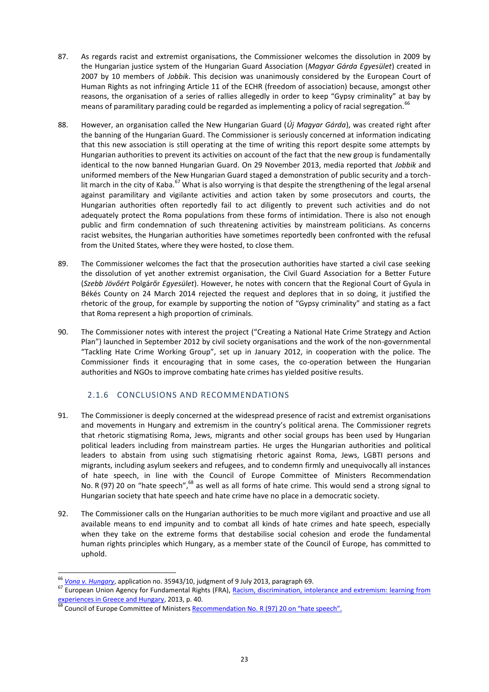- 87. As regards racist and extremist organisations, the Commissioner welcomes the dissolution in 2009 by the Hungarian justice system of the Hungarian Guard Association (*Magyar Gárda Egyesület*) created in 2007 by 10 members of *Jobbik*. This decision was unanimously considered by the European Court of Human Rights as not infringing Article 11 of the ECHR (freedom of association) because, amongst other reasons, the organisation of a series of rallies allegedly in order to keep "Gypsy criminality" at bay by means of paramilitary parading could be regarded as implementing a policy of racial segregation.<sup>66</sup>
- 88. However, an organisation called the New Hungarian Guard (*Új Magyar Gárda*), was created right after the banning of the Hungarian Guard. The Commissioner is seriously concerned at information indicating that this new association is still operating at the time of writing this report despite some attempts by Hungarian authorities to prevent its activities on account of the fact that the new group is fundamentally identical to the now banned Hungarian Guard. On 29 November 2013, media reported that *Jobbik* and uniformed members of the New Hungarian Guard staged a demonstration of public security and a torchlit march in the city of Kaba.<sup>67</sup> What is also worrying is that despite the strengthening of the legal arsenal against paramilitary and vigilante activities and action taken by some prosecutors and courts, the Hungarian authorities often reportedly fail to act diligently to prevent such activities and do not adequately protect the Roma populations from these forms of intimidation. There is also not enough public and firm condemnation of such threatening activities by mainstream politicians. As concerns racist websites, the Hungarian authorities have sometimes reportedly been confronted with the refusal from the United States, where they were hosted, to close them.
- 89. The Commissioner welcomes the fact that the prosecution authorities have started a civil case seeking the dissolution of yet another extremist organisation, the Civil Guard Association for a Better Future (*Szebb Jövőért* Polgárőr *Egyesület*). However, he notes with concern that the Regional Court of Gyula in Békés County on 24 March 2014 rejected the request and deplores that in so doing, it justified the rhetoric of the group, for example by supporting the notion of "Gypsy criminality" and stating as a fact that Roma represent a high proportion of criminals.
- 90. The Commissioner notes with interest the project ("Creating a National Hate Crime Strategy and Action Plan") launched in September 2012 by civil society organisations and the work of the non-governmental "Tackling Hate Crime Working Group", set up in January 2012, in cooperation with the police. The Commissioner finds it encouraging that in some cases, the co-operation between the Hungarian authorities and NGOs to improve combating hate crimes has yielded positive results.

# 2.1.6 CONCLUSIONS AND RECOMMENDATIONS

- <span id="page-22-0"></span>91. The Commissioner is deeply concerned at the widespread presence of racist and extremist organisations and movements in Hungary and extremism in the country's political arena. The Commissioner regrets that rhetoric stigmatising Roma, Jews, migrants and other social groups has been used by Hungarian political leaders including from mainstream parties. He urges the Hungarian authorities and political leaders to abstain from using such stigmatising rhetoric against Roma, Jews, LGBTI persons and migrants, including asylum seekers and refugees, and to condemn firmly and unequivocally all instances of hate speech, in line with the Council of Europe Committee of Ministers Recommendation No. R (97) 20 on "hate speech",<sup>68</sup> as well as all forms of hate crime. This would send a strong signal to Hungarian society that hate speech and hate crime have no place in a democratic society.
- 92. The Commissioner calls on the Hungarian authorities to be much more vigilant and proactive and use all available means to end impunity and to combat all kinds of hate crimes and hate speech, especially when they take on the extreme forms that destabilise social cohesion and erode the fundamental human rights principles which Hungary, as a member state of the Council of Europe, has committed to uphold.

<sup>66</sup> *[Vona v. Hungary](http://hudoc.echr.coe.int/sites/eng/pages/search.aspx?i=001-122183)*, application no. 35943/10, judgment of 9 July 2013, paragraph 69.

<sup>67</sup> European Union Agency for Fundamental Rights (FRA), Racism, discrimination, intolerance and extremism: learning from [experiences in Greece and Hungary,](http://fra.europa.eu/en/publication/2013/racism-discrimination-intolerance-and-extremism-learning-experiences-greece-and) 2013, p. 40.

<sup>&</sup>lt;sup>68</sup> Council of Europe Committee of Ministers <u>Recommendation No. R (97) 20 on "hate speech".</u>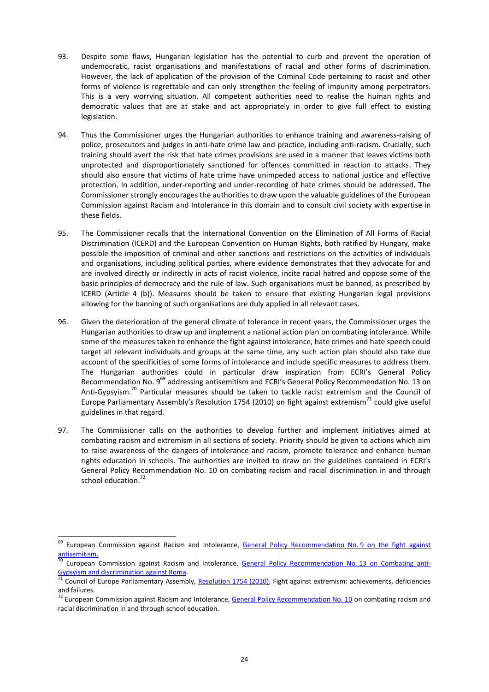- 93. Despite some flaws, Hungarian legislation has the potential to curb and prevent the operation of undemocratic, racist organisations and manifestations of racial and other forms of discrimination. However, the lack of application of the provision of the Criminal Code pertaining to racist and other forms of violence is regrettable and can only strengthen the feeling of impunity among perpetrators. This is a very worrying situation. All competent authorities need to realise the human rights and democratic values that are at stake and act appropriately in order to give full effect to existing legislation.
- 94. Thus the Commissioner urges the Hungarian authorities to enhance training and awareness-raising of police, prosecutors and judges in anti-hate crime law and practice, including anti-racism. Crucially, such training should avert the risk that hate crimes provisions are used in a manner that leaves victims both unprotected and disproportionately sanctioned for offences committed in reaction to attacks. They should also ensure that victims of hate crime have unimpeded access to national justice and effective protection. In addition, under-reporting and under-recording of hate crimes should be addressed. The Commissioner strongly encourages the authorities to draw upon the valuable guidelines of the European Commission against Racism and Intolerance in this domain and to consult civil society with expertise in these fields.
- 95. The Commissioner recalls that the International Convention on the Elimination of All Forms of Racial Discrimination (ICERD) and the European Convention on Human Rights, both ratified by Hungary, make possible the imposition of criminal and other sanctions and restrictions on the activities of individuals and organisations, including political parties, where evidence demonstrates that they advocate for and are involved directly or indirectly in acts of racist violence, incite racial hatred and oppose some of the basic principles of democracy and the rule of law. Such organisations must be banned, as prescribed by ICERD (Article 4 (b)). Measures should be taken to ensure that existing Hungarian legal provisions allowing for the banning of such organisations are duly applied in all relevant cases.
- 96. Given the deterioration of the general climate of tolerance in recent years, the Commissioner urges the Hungarian authorities to draw up and implement a national action plan on combating intolerance. While some of the measures taken to enhance the fight against intolerance, hate crimes and hate speech could target all relevant individuals and groups at the same time, any such action plan should also take due account of the specificities of some forms of intolerance and include specific measures to address them. The Hungarian authorities could in particular draw inspiration from ECRI's General Policy Recommendation No. 9<sup>69</sup> addressing antisemitism and ECRI's General Policy Recommendation No. 13 on Anti-Gypsyism.<sup>70</sup> Particular measures should be taken to tackle racist extremism and the Council of Europe Parliamentary Assembly's Resolution 1754 (2010) on fight against extremism<sup>71</sup> could give useful guidelines in that regard.
- 97. The Commissioner calls on the authorities to develop further and implement initiatives aimed at combating racism and extremism in all sections of society. Priority should be given to actions which aim to raise awareness of the dangers of intolerance and racism, promote tolerance and enhance human rights education in schools. The authorities are invited to draw on the guidelines contained in ECRI's General Policy Recommendation No. 10 on combating racism and racial discrimination in and through school education.<sup>72</sup>

<sup>&</sup>lt;sup>69</sup> European Commission against Racism and Intolerance, **General Policy Recommendation No. 9 on the fight against** antisemitism.

European Commission against Racism and Intolerance, [General Policy Recommendation No.](http://www.coe.int/t/dghl/monitoring/ecri/activities/GPR/EN/Recommendation_N13/default_en.asp) 13 on Combating anti-[Gypsyism and discrimination against Roma.](http://www.coe.int/t/dghl/monitoring/ecri/activities/GPR/EN/Recommendation_N13/default_en.asp)

<sup>71</sup> Council of Europe Parliamentary Assembly, [Resolution 1754 \(2010\),](http://www.assembly.coe.int/Main.asp?link=/Documents/AdoptedText/ta10/ERES1754.htm) Fight against extremism: achievements, deficiencies and failures.

<sup>&</sup>lt;sup>72</sup> European Commission against Racism and Intolerance, [General Policy Recommendation No. 10](http://www.coe.int/t/dghl/monitoring/ecri/activities/gpr/en/recommendation_n10/eng-recommendation%20nr%2010.pdf) on combating racism and racial discrimination in and through school education.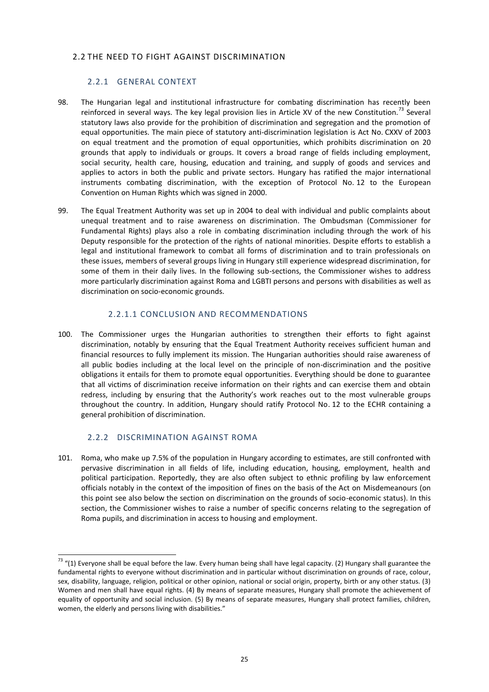### <span id="page-24-1"></span><span id="page-24-0"></span>2.2 THE NEED TO FIGHT AGAINST DISCRIMINATION

## 2.2.1 GENERAL CONTEXT

- 98. The Hungarian legal and institutional infrastructure for combating discrimination has recently been reinforced in several ways. The key legal provision lies in Article XV of the new Constitution.<sup>73</sup> Several statutory laws also provide for the prohibition of discrimination and segregation and the promotion of equal opportunities. The main piece of statutory anti-discrimination legislation is Act No. CXXV of 2003 on equal treatment and the promotion of equal opportunities, which prohibits discrimination on 20 grounds that apply to individuals or groups. It covers a broad range of fields including employment, social security, health care, housing, education and training, and supply of goods and services and applies to actors in both the public and private sectors. Hungary has ratified the major international instruments combating discrimination, with the exception of Protocol No. 12 to the European Convention on Human Rights which was signed in 2000.
- 99. The Equal Treatment Authority was set up in 2004 to deal with individual and public complaints about unequal treatment and to raise awareness on discrimination. The Ombudsman (Commissioner for Fundamental Rights) plays also a role in combating discrimination including through the work of his Deputy responsible for the protection of the rights of national minorities. Despite efforts to establish a legal and institutional framework to combat all forms of discrimination and to train professionals on these issues, members of several groups living in Hungary still experience widespread discrimination, for some of them in their daily lives. In the following sub-sections, the Commissioner wishes to address more particularly discrimination against Roma and LGBTI persons and persons with disabilities as well as discrimination on socio-economic grounds.

## <span id="page-24-2"></span>2.2.1.1 CONCLUSION AND RECOMMENDATIONS

100. The Commissioner urges the Hungarian authorities to strengthen their efforts to fight against discrimination, notably by ensuring that the Equal Treatment Authority receives sufficient human and financial resources to fully implement its mission. The Hungarian authorities should raise awareness of all public bodies including at the local level on the principle of non-discrimination and the positive obligations it entails for them to promote equal opportunities. Everything should be done to guarantee that all victims of discrimination receive information on their rights and can exercise them and obtain redress, including by ensuring that the Authority's work reaches out to the most vulnerable groups throughout the country. In addition, Hungary should ratify Protocol No. 12 to the ECHR containing a general prohibition of discrimination.

#### 2.2.2 DISCRIMINATION AGAINST ROMA

 $\overline{a}$ 

<span id="page-24-3"></span>101. Roma, who make up 7.5% of the population in Hungary according to estimates, are still confronted with pervasive discrimination in all fields of life, including education, housing, employment, health and political participation. Reportedly, they are also often subject to ethnic profiling by law enforcement officials notably in the context of the imposition of fines on the basis of the Act on Misdemeanours (on this point see also below the section on discrimination on the grounds of socio-economic status). In this section, the Commissioner wishes to raise a number of specific concerns relating to the segregation of Roma pupils, and discrimination in access to housing and employment.

 $^{73}$  "(1) Everyone shall be equal before the law. Every human being shall have legal capacity. (2) Hungary shall guarantee the fundamental rights to everyone without discrimination and in particular without discrimination on grounds of race, colour, sex, disability, language, religion, political or other opinion, national or social origin, property, birth or any other status. (3) Women and men shall have equal rights. (4) By means of separate measures, Hungary shall promote the achievement of equality of opportunity and social inclusion. (5) By means of separate measures, Hungary shall protect families, children, women, the elderly and persons living with disabilities."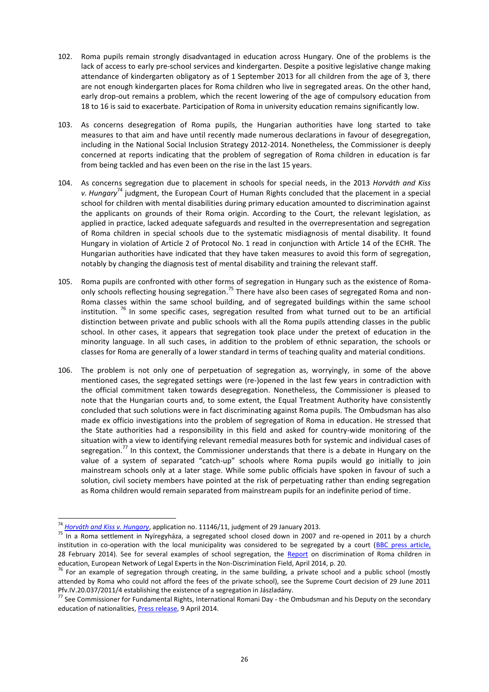- 102. Roma pupils remain strongly disadvantaged in education across Hungary. One of the problems is the lack of access to early pre-school services and kindergarten. Despite a positive legislative change making attendance of kindergarten obligatory as of 1 September 2013 for all children from the age of 3, there are not enough kindergarten places for Roma children who live in segregated areas. On the other hand, early drop-out remains a problem, which the recent lowering of the age of compulsory education from 18 to 16 is said to exacerbate. Participation of Roma in university education remains significantly low.
- 103. As concerns desegregation of Roma pupils, the Hungarian authorities have long started to take measures to that aim and have until recently made numerous declarations in favour of desegregation, including in the National Social Inclusion Strategy 2012-2014. Nonetheless, the Commissioner is deeply concerned at reports indicating that the problem of segregation of Roma children in education is far from being tackled and has even been on the rise in the last 15 years.
- 104. As concerns segregation due to placement in schools for special needs, in the 2013 *Horváth and Kiss v. Hungary*<sup>74</sup> judgment, the European Court of Human Rights concluded that the placement in a special school for children with mental disabilities during primary education amounted to discrimination against the applicants on grounds of their Roma origin. According to the Court, the relevant legislation, as applied in practice, lacked adequate safeguards and resulted in the overrepresentation and segregation of Roma children in special schools due to the systematic misdiagnosis of mental disability. It found Hungary in violation of Article 2 of Protocol No. 1 read in conjunction with Article 14 of the ECHR. The Hungarian authorities have indicated that they have taken measures to avoid this form of segregation, notably by changing the diagnosis test of mental disability and training the relevant staff.
- 105. Roma pupils are confronted with other forms of segregation in Hungary such as the existence of Romaonly schools reflecting housing segregation.<sup>75</sup> There have also been cases of segregated Roma and non-Roma classes within the same school building, and of segregated buildings within the same school institution.<sup>76</sup> In some specific cases, segregation resulted from what turned out to be an artificial distinction between private and public schools with all the Roma pupils attending classes in the public school. In other cases, it appears that segregation took place under the pretext of education in the minority language. In all such cases, in addition to the problem of ethnic separation, the schools or classes for Roma are generally of a lower standard in terms of teaching quality and material conditions.
- 106. The problem is not only one of perpetuation of segregation as, worryingly, in some of the above mentioned cases, the segregated settings were (re-)opened in the last few years in contradiction with the official commitment taken towards desegregation. Nonetheless, the Commissioner is pleased to note that the Hungarian courts and, to some extent, the Equal Treatment Authority have consistently concluded that such solutions were in fact discriminating against Roma pupils. The Ombudsman has also made ex officio investigations into the problem of segregation of Roma in education. He stressed that the State authorities had a responsibility in this field and asked for country-wide monitoring of the situation with a view to identifying relevant remedial measures both for systemic and individual cases of segregation.<sup>77</sup> In this context, the Commissioner understands that there is a debate in Hungary on the value of a system of separated "catch-up" schools where Roma pupils would go initially to join mainstream schools only at a later stage. While some public officials have spoken in favour of such a solution, civil society members have pointed at the risk of perpetuating rather than ending segregation as Roma children would remain separated from mainstream pupils for an indefinite period of time.

<sup>74</sup> *[Horváth and Kiss v. Hungary](http://hudoc.echr.coe.int/sites/eng/pages/search.aspx?i=001-116124)*, application no. 11146/11, judgment of 29 January 2013.

<sup>75</sup> In a Roma settlement in Nyíregyháza, a segregated school closed down in 2007 and re-opened in 2011 by a church institution in co-operation with the local municipality was considered to be segregated by a court [\(BBC press article,](http://www.bbc.com/news/world-europe-26390357) 28 February 2014). See for several examples of school segregation, the [Report](http://ec.europa.eu/justice/discrimination/files/roma_childdiscrimination_en.pdf) on discrimination of Roma children in education, European Network of Legal Experts in the Non-Discrimination Field, April 2014, p. 20.

 $^{76}$  For an example of segregation through creating, in the same building, a private school and a public school (mostly attended by Roma who could not afford the fees of the private school), see the Supreme Court decision of 29 June 2011 Pfv.IV.20.037/2011/4 establishing the existence of a segregation in Jászladány.

<sup>77</sup> See Commissioner for Fundamental Rights, International Romani Day - the Ombudsman and his Deputy on the secondary education of nationalities, [Press release,](http://www.ajbh.hu/en/web/ajbh-en/-/international-romani-day-the-ombudsman-and-his-deputy-on-the-secondary-education-of-nationalities) 9 April 2014.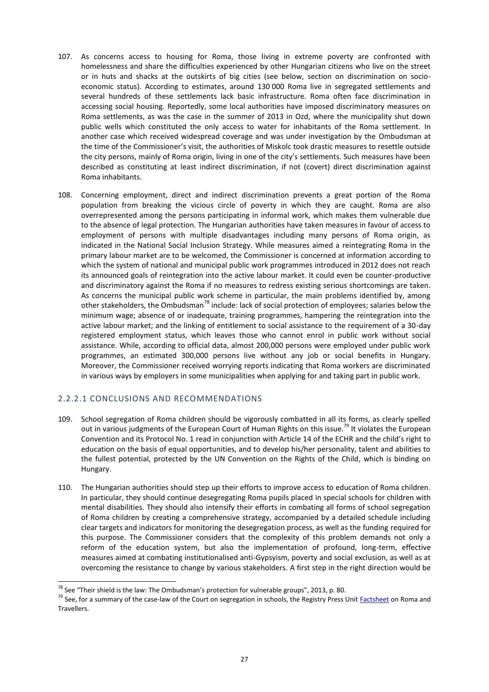- 107. As concerns access to housing for Roma, those living in extreme poverty are confronted with homelessness and share the difficulties experienced by other Hungarian citizens who live on the street or in huts and shacks at the outskirts of big cities (see below, section on discrimination on socioeconomic status). According to estimates, around 130 000 Roma live in segregated settlements and several hundreds of these settlements lack basic infrastructure. Roma often face discrimination in accessing social housing. Reportedly, some local authorities have imposed discriminatory measures on Roma settlements, as was the case in the summer of 2013 in Ozd, where the municipality shut down public wells which constituted the only access to water for inhabitants of the Roma settlement. In another case which received widespread coverage and was under investigation by the Ombudsman at the time of the Commissioner's visit, the authorities of Miskolc took drastic measures to resettle outside the city persons, mainly of Roma origin, living in one of the city's settlements. Such measures have been described as constituting at least indirect discrimination, if not (covert) direct discrimination against Roma inhabitants.
- 108. Concerning employment, direct and indirect discrimination prevents a great portion of the Roma population from breaking the vicious circle of poverty in which they are caught. Roma are also overrepresented among the persons participating in informal work, which makes them vulnerable due to the absence of legal protection. The Hungarian authorities have taken measures in favour of access to employment of persons with multiple disadvantages including many persons of Roma origin, as indicated in the National Social Inclusion Strategy. While measures aimed a reintegrating Roma in the primary labour market are to be welcomed, the Commissioner is concerned at information according to which the system of national and municipal public work programmes introduced in 2012 does not reach its announced goals of reintegration into the active labour market. It could even be counter-productive and discriminatory against the Roma if no measures to redress existing serious shortcomings are taken. As concerns the municipal public work scheme in particular, the main problems identified by, among other stakeholders, the Ombudsman<sup>78</sup> include: lack of social protection of employees; salaries below the minimum wage; absence of or inadequate, training programmes, hampering the reintegration into the active labour market; and the linking of entitlement to social assistance to the requirement of a 30-day registered employment status, which leaves those who cannot enrol in public work without social assistance. While, according to official data, almost 200,000 persons were employed under public work programmes, an estimated 300,000 persons live without any job or social benefits in Hungary. Moreover, the Commissioner received worrying reports indicating that Roma workers are discriminated in various ways by employers in some municipalities when applying for and taking part in public work.

## <span id="page-26-0"></span>2.2.2.1 CONCLUSIONS AND RECOMMENDATIONS

- 109. School segregation of Roma children should be vigorously combatted in all its forms, as clearly spelled out in various judgments of the European Court of Human Rights on this issue.<sup>79</sup> It violates the European Convention and its Protocol No. 1 read in conjunction with Article 14 of the ECHR and the child's right to education on the basis of equal opportunities, and to develop his/her personality, talent and abilities to the fullest potential, protected by the UN Convention on the Rights of the Child, which is binding on Hungary.
- 110. The Hungarian authorities should step up their efforts to improve access to education of Roma children. In particular, they should continue desegregating Roma pupils placed in special schools for children with mental disabilities. They should also intensify their efforts in combating all forms of school segregation of Roma children by creating a comprehensive strategy, accompanied by a detailed schedule including clear targets and indicators for monitoring the desegregation process, as well as the funding required for this purpose. The Commissioner considers that the complexity of this problem demands not only a reform of the education system, but also the implementation of profound, long-term, effective measures aimed at combating institutionalised anti-Gypsyism, poverty and social exclusion, as well as at overcoming the resistance to change by various stakeholders. A first step in the right direction would be

 $78$  See "Their shield is the law: The Ombudsman's protection for vulnerable groups", 2013, p. 80.

<sup>&</sup>lt;sup>79</sup> See, for a summary of the case-law of the Court on segregation in schools, the Registry Press Unit **Factsheet** on Roma and Travellers.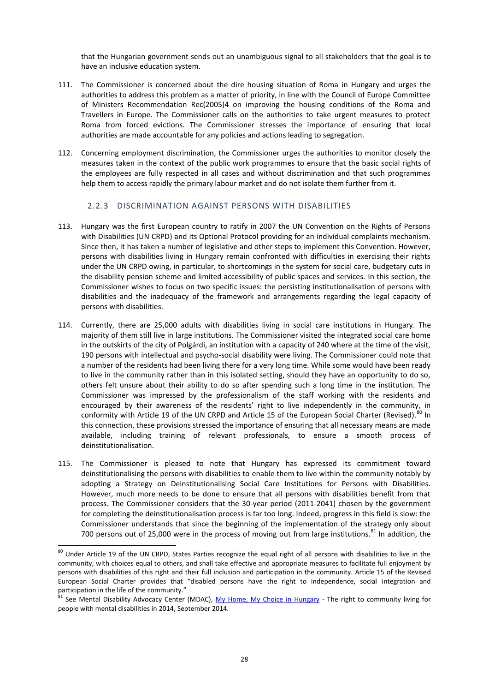that the Hungarian government sends out an unambiguous signal to all stakeholders that the goal is to have an inclusive education system.

- 111. The Commissioner is concerned about the dire housing situation of Roma in Hungary and urges the authorities to address this problem as a matter of priority, in line with the Council of Europe Committee of Ministers Recommendation Rec(2005)4 on improving the housing conditions of the Roma and Travellers in Europe. The Commissioner calls on the authorities to take urgent measures to protect Roma from forced evictions. The Commissioner stresses the importance of ensuring that local authorities are made accountable for any policies and actions leading to segregation.
- 112. Concerning employment discrimination, the Commissioner urges the authorities to monitor closely the measures taken in the context of the public work programmes to ensure that the basic social rights of the employees are fully respected in all cases and without discrimination and that such programmes help them to access rapidly the primary labour market and do not isolate them further from it.

### 2.2.3 DISCRIMINATION AGAINST PERSONS WITH DISABILITIES

- <span id="page-27-0"></span>113. Hungary was the first European country to ratify in 2007 the UN Convention on the Rights of Persons with Disabilities (UN CRPD) and its Optional Protocol providing for an individual complaints mechanism. Since then, it has taken a number of legislative and other steps to implement this Convention. However, persons with disabilities living in Hungary remain confronted with difficulties in exercising their rights under the UN CRPD owing, in particular, to shortcomings in the system for social care, budgetary cuts in the disability pension scheme and limited accessibility of public spaces and services. In this section, the Commissioner wishes to focus on two specific issues: the persisting institutionalisation of persons with disabilities and the inadequacy of the framework and arrangements regarding the legal capacity of persons with disabilities.
- 114. Currently, there are 25,000 adults with disabilities living in social care institutions in Hungary. The majority of them still live in large institutions. The Commissioner visited the integrated social care home in the outskirts of the city of Polgárdi, an institution with a capacity of 240 where at the time of the visit, 190 persons with intellectual and psycho-social disability were living. The Commissioner could note that a number of the residents had been living there for a very long time. While some would have been ready to live in the community rather than in this isolated setting, should they have an opportunity to do so, others felt unsure about their ability to do so after spending such a long time in the institution. The Commissioner was impressed by the professionalism of the staff working with the residents and encouraged by their awareness of the residents' right to live independently in the community, in conformity with Article 19 of the UN CRPD and Article 15 of the European Social Charter (Revised).<sup>80</sup> In this connection, these provisions stressed the importance of ensuring that all necessary means are made available, including training of relevant professionals, to ensure a smooth process of deinstitutionalisation.
- 115. The Commissioner is pleased to note that Hungary has expressed its commitment toward deinstitutionalising the persons with disabilities to enable them to live within the community notably by adopting a Strategy on Deinstitutionalising Social Care Institutions for Persons with Disabilities. However, much more needs to be done to ensure that all persons with disabilities benefit from that process. The Commissioner considers that the 30-year period (2011-2041) chosen by the government for completing the deinstitutionalisation process is far too long. Indeed, progress in this field is slow: the Commissioner understands that since the beginning of the implementation of the strategy only about 700 persons out of 25,000 were in the process of moving out from large institutions.<sup>81</sup> In addition, the

 $^{80}$  Under Article 19 of the UN CRPD, States Parties recognize the equal right of all persons with disabilities to live in the community, with choices equal to others, and shall take effective and appropriate measures to facilitate full enjoyment by persons with disabilities of this right and their full inclusion and participation in the community. Article 15 of the Revised European Social Charter provides that "disabled persons have the right to independence, social integration and provides that<br>participation in the life of the community."

See Mental Disability Advocacy Center (MDAC), [My Home, My Choice in](http://www.mdac.org/en/books/my-home-my-choice-hungary-right-community-living-people-mental-disabilities-2014) Hungary - The right to community living for people with mental disabilities in 2014, September 2014.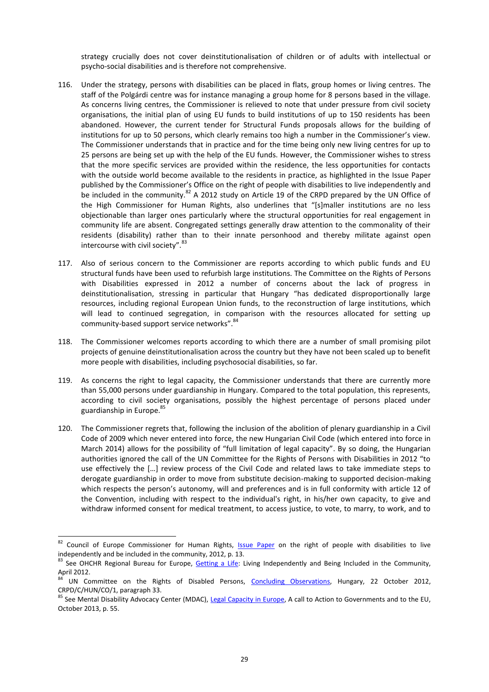strategy crucially does not cover deinstitutionalisation of children or of adults with intellectual or psycho-social disabilities and is therefore not comprehensive.

- 116. Under the strategy, persons with disabilities can be placed in flats, group homes or living centres. The staff of the Polgárdi centre was for instance managing a group home for 8 persons based in the village. As concerns living centres, the Commissioner is relieved to note that under pressure from civil society organisations, the initial plan of using EU funds to build institutions of up to 150 residents has been abandoned. However, the current tender for Structural Funds proposals allows for the building of institutions for up to 50 persons, which clearly remains too high a number in the Commissioner's view. The Commissioner understands that in practice and for the time being only new living centres for up to 25 persons are being set up with the help of the EU funds. However, the Commissioner wishes to stress that the more specific services are provided within the residence, the less opportunities for contacts with the outside world become available to the residents in practice, as highlighted in the [Issue Paper](https://wcd.coe.int/com.instranet.InstraServlet?command=com.instranet.CmdBlobGet&InstranetImage=2397433&SecMode=1&DocId=2076280&Usage=2) published by the Commissioner's Office on the right of people with disabilities to live independently and be included in the community.<sup>82</sup> A 2012 study on Article 19 of the CRPD prepared by the UN Office of the High Commissioner for Human Rights, also underlines that "[s]maller institutions are no less objectionable than larger ones particularly where the structural opportunities for real engagement in community life are absent. Congregated settings generally draw attention to the commonality of their residents (disability) rather than to their innate personhood and thereby militate against open intercourse with civil society".  $83$
- 117. Also of serious concern to the Commissioner are reports according to which public funds and EU structural funds have been used to refurbish large institutions. The Committee on the Rights of Persons with Disabilities expressed in 2012 a number of concerns about the lack of progress in deinstitutionalisation, stressing in particular that Hungary "has dedicated disproportionally large resources, including regional European Union funds, to the reconstruction of large institutions, which will lead to continued segregation, in comparison with the resources allocated for setting up community-based support service networks". 84
- 118. The Commissioner welcomes reports according to which there are a number of small promising pilot projects of genuine deinstitutionalisation across the country but they have not been scaled up to benefit more people with disabilities, including psychosocial disabilities, so far.
- 119. As concerns the right to legal capacity, the Commissioner understands that there are currently more than 55,000 persons under guardianship in Hungary. Compared to the total population, this represents, according to civil society organisations, possibly the highest percentage of persons placed under guardianship in Europe.<sup>85</sup>
- 120. The Commissioner regrets that, following the inclusion of the abolition of plenary guardianship in a Civil Code of 2009 which never entered into force, the new Hungarian Civil Code (which entered into force in March 2014) allows for the possibility of "full limitation of legal capacity". By so doing, the Hungarian authorities ignored the call of the UN Committee for the Rights of Persons with Disabilities in 2012 "to use effectively the […] review process of the Civil Code and related laws to take immediate steps to derogate guardianship in order to move from substitute decision-making to supported decision-making which respects the person's autonomy, will and preferences and is in full conformity with article 12 of the Convention, including with respect to the individual's right, in his/her own capacity, to give and withdraw informed consent for medical treatment, to access justice, to vote, to marry, to work, and to

<sup>&</sup>lt;sup>82</sup> Council of Europe Commissioner for Human Rights, **[Issue Paper](https://wcd.coe.int/ViewDoc.jsp?id=1917847)** on the right of people with disabilities to live independently and be included in the community, 2012, p. 13.

<sup>&</sup>lt;sup>83</sup> See OHCHR Regional Bureau for Europe, *Getting a Life*: Living Independently and Being Included in the Community, April 2012.

UN Committee on the Rights of Disabled Persons, [Concluding Observations,](http://tbinternet.ohchr.org/_layouts/treatybodyexternal/Download.aspx?symbolno=CRPD%2fC%2fHUN%2fCO%2f1&Lang=en) Hungary, 22 October 2012, CRPD/C/HUN/CO/1, paragraph 33.

<sup>85</sup> See Mental Disability Advocacy Center (MDAC), [Legal Capacity in Europe,](http://mdac.info/sites/mdac.info/files/legal_capacity_in_europe.pdf) A call to Action to Governments and to the EU, October 2013, p. 55.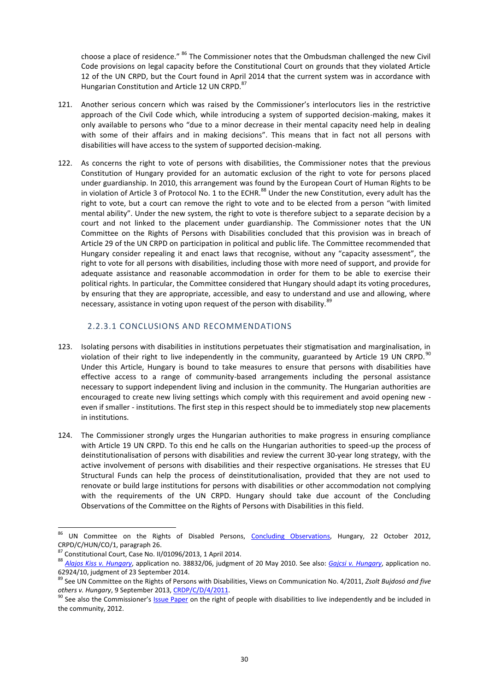choose a place of residence." <sup>86</sup> The Commissioner notes that the Ombudsman challenged the new Civil Code provisions on legal capacity before the Constitutional Court on grounds that they violated Article 12 of the UN CRPD, but the Court found in April 2014 that the current system was in accordance with Hungarian Constitution and Article 12 UN CRPD.<sup>87</sup>

- 121. Another serious concern which was raised by the Commissioner's interlocutors lies in the restrictive approach of the Civil Code which, while introducing a system of supported decision-making, makes it only available to persons who "due to a minor decrease in their mental capacity need help in dealing with some of their affairs and in making decisions". This means that in fact not all persons with disabilities will have access to the system of supported decision-making.
- 122. As concerns the right to vote of persons with disabilities, the Commissioner notes that the previous Constitution of Hungary provided for an automatic exclusion of the right to vote for persons placed under guardianship. In 2010, this arrangement was found by the European Court of Human Rights to be in violation of Article 3 of Protocol No. 1 to the ECHR.<sup>88</sup> Under the new Constitution, every adult has the right to vote, but a court can remove the right to vote and to be elected from a person "with limited mental ability". Under the new system, the right to vote is therefore subject to a separate decision by a court and not linked to the placement under guardianship. The Commissioner notes that the UN Committee on the Rights of Persons with Disabilities concluded that this provision was in breach of Article 29 of the UN CRPD on participation in political and public life. The Committee recommended that Hungary consider repealing it and enact laws that recognise, without any "capacity assessment", the right to vote for all persons with disabilities, including those with more need of support, and provide for adequate assistance and reasonable accommodation in order for them to be able to exercise their political rights. In particular, the Committee considered that Hungary should adapt its voting procedures, by ensuring that they are appropriate, accessible, and easy to understand and use and allowing, where necessary, assistance in voting upon request of the person with disability.<sup>89</sup>

## 2.2.3.1 CONCLUSIONS AND RECOMMENDATIONS

- <span id="page-29-0"></span>123. Isolating persons with disabilities in institutions perpetuates their stigmatisation and marginalisation, in violation of their right to live independently in the community, guaranteed by Article 19 UN CRPD.<sup>90</sup> Under this Article, Hungary is bound to take measures to ensure that persons with disabilities have effective access to a range of community-based arrangements including the personal assistance necessary to support independent living and inclusion in the community. The Hungarian authorities are encouraged to create new living settings which comply with this requirement and avoid opening new even if smaller - institutions. The first step in this respect should be to immediately stop new placements in institutions.
- 124. The Commissioner strongly urges the Hungarian authorities to make progress in ensuring compliance with Article 19 UN CRPD. To this end he calls on the Hungarian authorities to speed-up the process of deinstitutionalisation of persons with disabilities and review the current 30-year long strategy, with the active involvement of persons with disabilities and their respective organisations. He stresses that EU Structural Funds can help the process of deinstitutionalisation, provided that they are not used to renovate or build large institutions for persons with disabilities or other accommodation not complying with the requirements of the UN CRPD. Hungary should take due account of the Concluding Observations of the Committee on the Rights of Persons with Disabilities in this field.

<sup>&</sup>lt;sup>86</sup> UN Committee on the Rights of Disabled Persons, *[Concluding Observations,](http://tbinternet.ohchr.org/_layouts/treatybodyexternal/Download.aspx?symbolno=CRPD%2fC%2fHUN%2fCO%2f1&Lang=en)* Hungary, 22 October 2012, CRPD/C/HUN/CO/1, paragraph 26.

<sup>87</sup> Constitutional Court, Case No. II/01096/2013, 1 April 2014.

<sup>88</sup> *[Alajos Kiss v. Hungary](http://hudoc.echr.coe.int/sites/eng/pages/search.aspx?i=001-98800#{"itemid":["001-98800"]})*, application no. 38832/06, judgment of 20 May 2010. See also: *[Gajcsi v. Hungary](http://hudoc.echr.coe.int/sites/eng/pages/search.aspx?i=001-146411)*, application no. 62924/10, judgment of 23 September 2014.

<sup>89</sup> See UN Committee on the Rights of Persons with Disabilities, Views on Communication No. 4/2011, *Zsolt Bujdosó and five others v. Hungary*, 9 September 2013[, CRDP/C/D/4/2011.](http://www.google.com/url?sa=t&rct=j&q=&esrc=s&frm=1&source=web&cd=2&ved=0CCsQFjAB&url=http%3A%2F%2Fwww.ohchr.org%2FDocuments%2FHRBodies%2FCRPD%2FJurisprudence%2FCRPD-C-10-DR-4-2011_en.doc&ei=TYxpVMj1L8LJPLXbgcAN&usg=AFQjCNFht8xwl5zF0H0Nc_Ze_T8ACzXpxQ&bvm=bv.79142246,d.ZWU)

<sup>90</sup> See also the Commissioner's **[Issue Paper](https://wcd.coe.int/ViewDoc.jsp?id=1917847) on the right** of people with disabilities to live independently and be included in the community, 2012.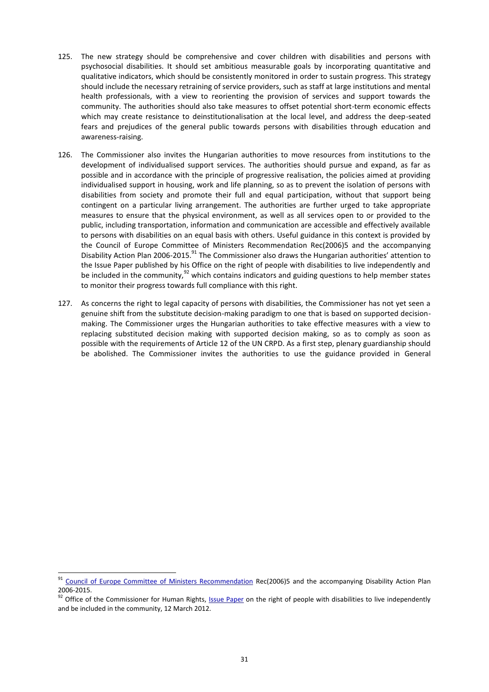- 125. The new strategy should be comprehensive and cover children with disabilities and persons with psychosocial disabilities. It should set ambitious measurable goals by incorporating quantitative and qualitative indicators, which should be consistently monitored in order to sustain progress. This strategy should include the necessary retraining of service providers, such as staff at large institutions and mental health professionals, with a view to reorienting the provision of services and support towards the community. The authorities should also take measures to offset potential short-term economic effects which may create resistance to deinstitutionalisation at the local level, and address the deep-seated fears and prejudices of the general public towards persons with disabilities through education and awareness-raising.
- 126. The Commissioner also invites the Hungarian authorities to move resources from institutions to the development of individualised support services. The authorities should pursue and expand, as far as possible and in accordance with the principle of progressive realisation, the policies aimed at providing individualised support in housing, work and life planning, so as to prevent the isolation of persons with disabilities from society and promote their full and equal participation, without that support being contingent on a particular living arrangement. The authorities are further urged to take appropriate measures to ensure that the physical environment, as well as all services open to or provided to the public, including transportation, information and communication are accessible and effectively available to persons with disabilities on an equal basis with others. Useful guidance in this context is provided by the Council of Europe Committee of Ministers Recommendation Rec(2006)5 and the accompanying [Disability Action Plan 2006-2015.](https://wcd.coe.int/ViewDoc.jsp?id=986865&Site=CM&BackColorInternet=C3C3C3&BackColorIntranet=EDB021&BackColorLogged=F5D383)<sup>91</sup> The Commissioner also draws the Hungarian authorities' attention to the Issue Paper published by his Office on the right of people with disabilities to live independently and be included in the community, $92$  which contains indicators and guiding questions to help member states to monitor their progress towards full compliance with this right.
- 127. As concerns the right to legal capacity of persons with disabilities, the Commissioner has not yet seen a genuine shift from the substitute decision-making paradigm to one that is based on supported decisionmaking. The Commissioner urges the Hungarian authorities to take effective measures with a view to replacing substituted decision making with supported decision making, so as to comply as soon as possible with the requirements of Article 12 of the UN CRPD. As a first step, plenary guardianship should be abolished. The Commissioner invites the authorities to use the guidance provided in [General](http://tbinternet.ohchr.org/_layouts/treatybodyexternal/Download.aspx?symbolno=CRPD/C/GC/1&Lang=en)

<sup>&</sup>lt;sup>91</sup> [Council of Europe Committee of Ministers Recommendation](https://wcd.coe.int/ViewDoc.jsp?id=986865) Rec(2006)5 and the accompanying Disability Action Plan [2006-2015.](https://wcd.coe.int/ViewDoc.jsp?id=986865&Site=CM&BackColorInternet=C3C3C3&BackColorIntranet=EDB021&BackColorLogged=F5D383)

<sup>&</sup>lt;sup>92</sup> Office of the Commissioner for Human Rights, **Issue Paper** on the right of people with disabilities to live independently and be included in the community, 12 March 2012.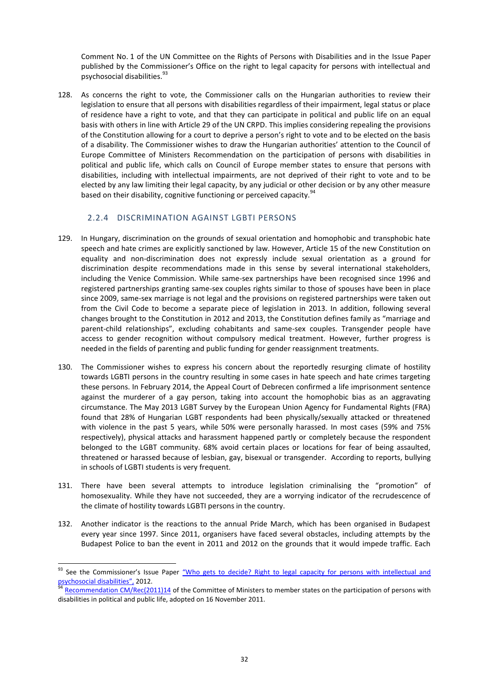[Comment No.](http://tbinternet.ohchr.org/_layouts/treatybodyexternal/Download.aspx?symbolno=CRPD/C/GC/1&Lang=en) 1 of the UN Committee on the Rights of Persons with Disabilities and in the Issue Paper published by the Commissioner's Office on the right to legal capacity for persons with intellectual and psychosocial disabilities. 93

128. As concerns the right to vote, the Commissioner calls on the Hungarian authorities to review their legislation to ensure that all persons with disabilities regardless of their impairment, legal status or place of residence have a right to vote, and that they can participate in political and public life on an equal basis with others in line with Article 29 of the UN CRPD. This implies considering repealing the provisions of the Constitution allowing for a court to deprive a person's right to vote and to be elected on the basis of a disability. The Commissioner wishes to draw the Hungarian authorities' attention to the Council of Europe Committee of Ministers Recommendation on the participation of persons with disabilities in political and public life, which calls on Council of Europe member states to ensure that persons with disabilities, including with intellectual impairments, are not deprived of their right to vote and to be elected by any law limiting their legal capacity, by any judicial or other decision or by any other measure based on their disability, cognitive functioning or perceived capacity.  $94$ 

## 2.2.4 DISCRIMINATION AGAINST LGBTI PERSONS

- <span id="page-31-0"></span>129. In Hungary, discrimination on the grounds of sexual orientation and homophobic and transphobic hate speech and hate crimes are explicitly sanctioned by law. However, Article 15 of the new Constitution on equality and non-discrimination does not expressly include sexual orientation as a ground for discrimination despite recommendations made in this sense by several international stakeholders, including the Venice Commission. While same-sex partnerships have been recognised since 1996 and registered partnerships granting same-sex couples rights similar to those of spouses have been in place since 2009, same-sex marriage is not legal and the provisions on registered partnerships were taken out from the Civil Code to become a separate piece of legislation in 2013. In addition, following several changes brought to the Constitution in 2012 and 2013, the Constitution defines family as "marriage and parent-child relationships", excluding cohabitants and same-sex couples. Transgender people have access to gender recognition without compulsory medical treatment. However, further progress is needed in the fields of parenting and public funding for gender reassignment treatments.
- 130. The Commissioner wishes to express his concern about the reportedly resurging climate of hostility towards LGBTI persons in the country resulting in some cases in hate speech and hate crimes targeting these persons. In February 2014, the Appeal Court of Debrecen confirmed a life imprisonment sentence against the murderer of a gay person, taking into account the homophobic bias as an aggravating circumstance. The May 2013 LGBT Survey by the European Union Agency for Fundamental Rights (FRA) found that 28% of Hungarian LGBT respondents had been physically/sexually attacked or threatened with violence in the past 5 years, while 50% were personally harassed. In most cases (59% and 75% respectively), physical attacks and harassment happened partly or completely because the respondent belonged to the LGBT community. 68% avoid certain places or locations for fear of being assaulted, threatened or harassed because of lesbian, gay, bisexual or transgender. According to reports, bullying in schools of LGBTI students is very frequent.
- 131. There have been several attempts to introduce legislation criminalising the "promotion" of homosexuality. While they have not succeeded, they are a worrying indicator of the recrudescence of the climate of hostility towards LGBTI persons in the country.
- 132. Another indicator is the reactions to the annual Pride March, which has been organised in Budapest every year since 1997. Since 2011, organisers have faced several obstacles, including attempts by the Budapest Police to ban the event in 2011 and 2012 on the grounds that it would impede traffic. Each

<sup>&</sup>lt;sup>93</sup> See the Commissioner's Issue Paper <u>"Who gets to decide? Right to legal capacity for persons with intellectual and</u> [psychosocial disabilities",](https://wcd.coe.int/ViewDoc.jsp?id=1908555) 2012.

Pecommendation CM/Rec(2011)14 of the Committee of Ministers to member states on the participation of persons with disabilities in political and public life, adopted on 16 November 2011.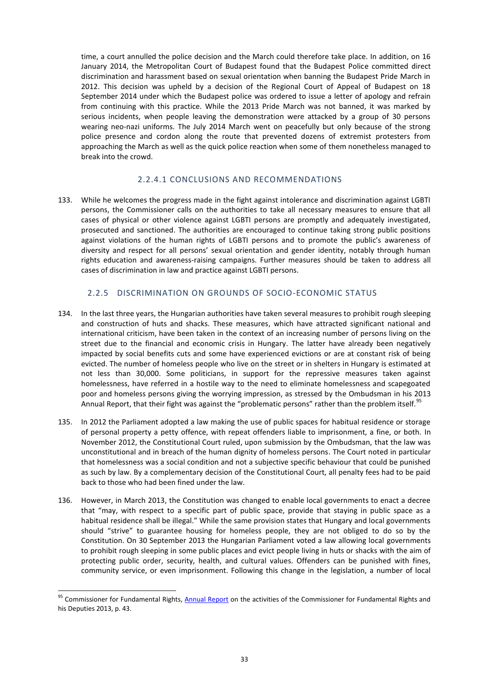time, a court annulled the police decision and the March could therefore take place. In addition, on 16 January 2014, the Metropolitan Court of Budapest found that the Budapest Police committed direct discrimination and harassment based on sexual orientation when banning the Budapest Pride March in 2012. This decision was upheld by a decision of the Regional Court of Appeal of Budapest on 18 September 2014 under which the Budapest police was ordered to issue a letter of apology and refrain from continuing with this practice. While the 2013 Pride March was not banned, it was marked by serious incidents, when people leaving the demonstration were attacked by a group of 30 persons wearing neo-nazi uniforms. The July 2014 March went on peacefully but only because of the strong police presence and cordon along the route that prevented dozens of extremist protesters from approaching the March as well as the quick police reaction when some of them nonetheless managed to break into the crowd.

## 2.2.4.1 CONCLUSIONS AND RECOMMENDATIONS

<span id="page-32-0"></span>133. While he welcomes the progress made in the fight against intolerance and discrimination against LGBTI persons, the Commissioner calls on the authorities to take all necessary measures to ensure that all cases of physical or other violence against LGBTI persons are promptly and adequately investigated, prosecuted and sanctioned. The authorities are encouraged to continue taking strong public positions against violations of the human rights of LGBTI persons and to promote the public's awareness of diversity and respect for all persons' sexual orientation and gender identity, notably through human rights education and awareness-raising campaigns. Further measures should be taken to address all cases of discrimination in law and practice against LGBTI persons.

#### 2.2.5 DISCRIMINATION ON GROUNDS OF SOCIO-ECONOMIC STATUS

- <span id="page-32-1"></span>134. In the last three years, the Hungarian authorities have taken several measures to prohibit rough sleeping and construction of huts and shacks. These measures, which have attracted significant national and international criticism, have been taken in the context of an increasing number of persons living on the street due to the financial and economic crisis in Hungary. The latter have already been negatively impacted by social benefits cuts and some have experienced evictions or are at constant risk of being evicted. The number of homeless people who live on the street or in shelters in Hungary is estimated at not less than 30,000. Some politicians, in support for the repressive measures taken against homelessness, have referred in a hostile way to the need to eliminate homelessness and scapegoated poor and homeless persons giving the worrying impression, as stressed by the Ombudsman in his 2013 Annual Report, that their fight was against the "problematic persons" rather than the problem itself.<sup>95</sup>
- 135. In 2012 the Parliament adopted a law making the use of public spaces for habitual residence or storage of personal property a petty offence, with repeat offenders liable to imprisonment, a fine, or both. In November 2012, the Constitutional Court ruled, upon submission by the Ombudsman, that the law was unconstitutional and in breach of the human dignity of homeless persons. The Court noted in particular that homelessness was a social condition and not a subjective specific behaviour that could be punished as such by law. By a complementary decision of the Constitutional Court, all penalty fees had to be paid back to those who had been fined under the law.
- 136. However, in March 2013, the Constitution was changed to enable local governments to enact a decree that "may, with respect to a specific part of public space, provide that staying in public space as a habitual residence shall be illegal." While the same provision states that Hungary and local governments should "strive" to guarantee housing for homeless people, they are not obliged to do so by the Constitution. On 30 September 2013 the Hungarian Parliament voted a law allowing local governments to prohibit rough sleeping in some public places and evict people living in huts or shacks with the aim of protecting public order, security, health, and cultural values. Offenders can be punished with fines, community service, or even imprisonment. Following this change in the legislation, a number of local

<sup>&</sup>lt;sup>95</sup> Commissioner for Fundamental Rights, [Annual Report](http://www.ajbh.hu/documents/14315/129172/Annual+Report+2013/42bc9441-1e90-4963-ad01-8f2819d2c3bf?version=1.0) on the activities of the Commissioner for Fundamental Rights and his Deputies 2013, p. 43.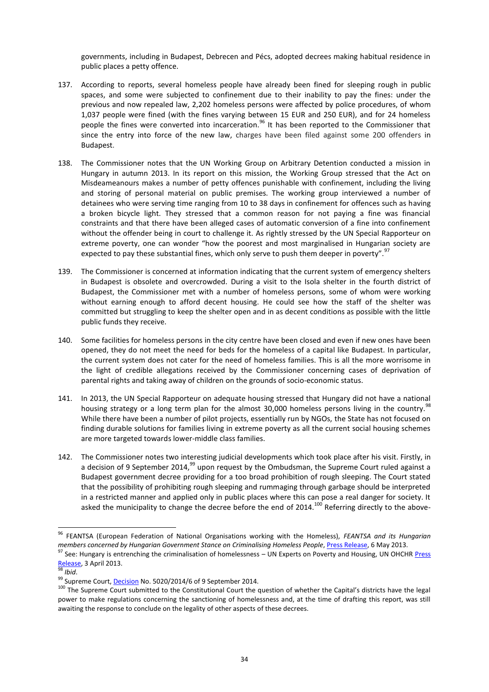governments, including in Budapest, Debrecen and Pécs, adopted decrees making habitual residence in public places a petty offence.

- 137. According to reports, several homeless people have already been fined for sleeping rough in public spaces, and some were subjected to confinement due to their inability to pay the fines: under the previous and now repealed law, 2,202 homeless persons were affected by police procedures, of whom 1,037 people were fined (with the fines varying between 15 EUR and 250 EUR), and for 24 homeless people the fines were converted into incarceration.<sup>96</sup> It has been reported to the Commissioner that since the entry into force of the new law, charges have been filed against some 200 offenders in Budapest.
- 138. The Commissioner notes that the UN Working Group on Arbitrary Detention conducted a mission in Hungary in autumn 2013. In its report on this mission, the Working Group stressed that the Act on Misdeameanours makes a number of petty offences punishable with confinement, including the living and storing of personal material on public premises. The working group interviewed a number of detainees who were serving time ranging from 10 to 38 days in confinement for offences such as having a broken bicycle light. They stressed that a common reason for not paying a fine was financial constraints and that there have been alleged cases of automatic conversion of a fine into confinement without the offender being in court to challenge it. As rightly stressed by the UN Special Rapporteur on extreme poverty, one can wonder "how the poorest and most marginalised in Hungarian society are expected to pay these substantial fines, which only serve to push them deeper in poverty".<sup>97</sup>
- 139. The Commissioner is concerned at information indicating that the current system of emergency shelters in Budapest is obsolete and overcrowded. During a visit to the Isola shelter in the fourth district of Budapest, the Commissioner met with a number of homeless persons, some of whom were working without earning enough to afford decent housing. He could see how the staff of the shelter was committed but struggling to keep the shelter open and in as decent conditions as possible with the little public funds they receive.
- 140. Some facilities for homeless persons in the city centre have been closed and even if new ones have been opened, they do not meet the need for beds for the homeless of a capital like Budapest. In particular, the current system does not cater for the need of homeless families. This is all the more worrisome in the light of credible allegations received by the Commissioner concerning cases of deprivation of parental rights and taking away of children on the grounds of socio-economic status.
- 141. In 2013, the UN Special Rapporteur on adequate housing stressed that Hungary did not have a national housing strategy or a long term plan for the almost 30,000 homeless persons living in the country.<sup>98</sup> While there have been a number of pilot projects, essentially run by NGOs, the State has not focused on finding durable solutions for families living in extreme poverty as all the current social housing schemes are more targeted towards lower-middle class families.
- 142. The Commissioner notes two interesting judicial developments which took place after his visit. Firstly, in a decision of 9 September 2014, $^{99}$  upon request by the Ombudsman, the Supreme Court ruled against a Budapest government decree providing for a too broad prohibition of rough sleeping. The Court stated that the possibility of prohibiting rough sleeping and rummaging through garbage should be interpreted in a restricted manner and applied only in public places where this can pose a real danger for society. It asked the municipality to change the decree before the end of 2014.<sup>100</sup> Referring directly to the above-

<sup>96</sup> FEANTSA (European Federation of National Organisations working with the Homeless), *FEANTSA and its Hungarian members concerned by Hungarian Government Stance on Criminalising Homeless People*, [Press Release,](http://www.feantsa.org/spip.php?article1019&lang=en) 6 May 2013. <sup>7</sup> See: Hungary is entrenching the criminalisation of homelessness – UN Experts on Poverty and Housing, UN OHCHR Press

[Release,](http://www.ohchr.org/EN/NewsEvents/Pages/DisplayNews.aspx?NewsID=13206&LangID=E) 3 April 2013.

<sup>98</sup> *Ibid*.

<sup>99</sup> Supreme Court[, Decision](http://lb.hu/hu/onkugy/kof502020146-szamu-hatarozat) No. 5020/2014/6 of 9 September 2014.

<sup>&</sup>lt;sup>100</sup> The Supreme Court submitted to the Constitutional Court the question of whether the Capital's districts have the legal power to make regulations concerning the sanctioning of homelessness and, at the time of drafting this report, was still awaiting the response to conclude on the legality of other aspects of these decrees.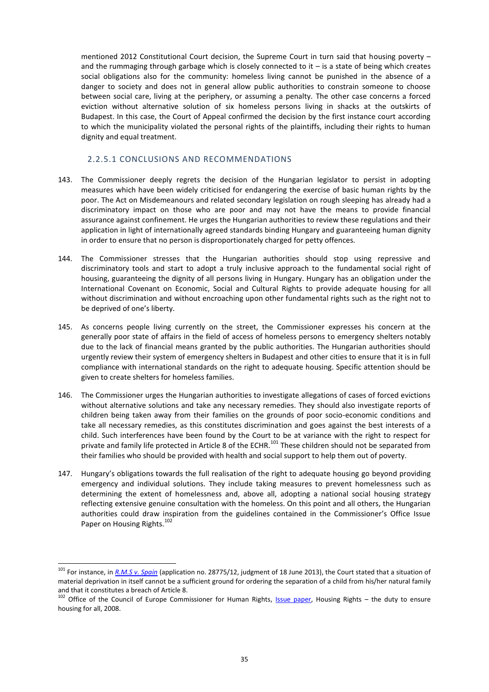mentioned 2012 Constitutional Court decision, the Supreme Court in turn said that housing poverty – and the rummaging through garbage which is closely connected to it  $-$  is a state of being which creates social obligations also for the community: homeless living cannot be punished in the absence of a danger to society and does not in general allow public authorities to constrain someone to choose between social care, living at the periphery, or assuming a penalty. The other case concerns a forced eviction without alternative solution of six homeless persons living in shacks at the outskirts of Budapest. In this case, the Court of Appeal confirmed the decision by the first instance court according to which the municipality violated the personal rights of the plaintiffs, including their rights to human dignity and equal treatment.

## 2.2.5.1 CONCLUSIONS AND RECOMMENDATIONS

- <span id="page-34-0"></span>143. The Commissioner deeply regrets the decision of the Hungarian legislator to persist in adopting measures which have been widely criticised for endangering the exercise of basic human rights by the poor. The Act on Misdemeanours and related secondary legislation on rough sleeping has already had a discriminatory impact on those who are poor and may not have the means to provide financial assurance against confinement. He urges the Hungarian authorities to review these regulations and their application in light of internationally agreed standards binding Hungary and guaranteeing human dignity in order to ensure that no person is disproportionately charged for petty offences.
- 144. The Commissioner stresses that the Hungarian authorities should stop using repressive and discriminatory tools and start to adopt a truly inclusive approach to the fundamental social right of housing, guaranteeing the dignity of all persons living in Hungary. Hungary has an obligation under the International Covenant on Economic, Social and Cultural Rights to provide adequate housing for all without discrimination and without encroaching upon other fundamental rights such as the right not to be deprived of one's liberty.
- 145. As concerns people living currently on the street, the Commissioner expresses his concern at the generally poor state of affairs in the field of access of homeless persons to emergency shelters notably due to the lack of financial means granted by the public authorities. The Hungarian authorities should urgently review their system of emergency shelters in Budapest and other cities to ensure that it is in full compliance with international standards on the right to adequate housing. Specific attention should be given to create shelters for homeless families.
- 146. The Commissioner urges the Hungarian authorities to investigate allegations of cases of forced evictions without alternative solutions and take any necessary remedies. They should also investigate reports of children being taken away from their families on the grounds of poor socio-economic conditions and take all necessary remedies, as this constitutes discrimination and goes against the best interests of a child. Such interferences have been found by the Court to be at variance with the right to respect for private and family life protected in Article 8 of the ECHR.<sup>101</sup> These children should not be separated from their families who should be provided with health and social support to help them out of poverty.
- 147. Hungary's obligations towards the full realisation of the right to adequate housing go beyond providing emergency and individual solutions. They include taking measures to prevent homelessness such as determining the extent of homelessness and, above all, adopting a national social housing strategy reflecting extensive genuine consultation with the homeless. On this point and all others, the Hungarian authorities could draw inspiration from the guidelines contained in the Commissioner's Office Issue Paper on Housing Rights.<sup>102</sup>

<sup>&</sup>lt;sup>101</sup> For instance, in <u>[R.M.S v. Spain](http://hudoc.echr.coe.int/sites/eng/pages/search.aspx?i=001-121906)</u> (application no. 28775/12, judgment of 18 June 2013), the Court stated that a situation of material deprivation in itself cannot be a sufficient ground for ordering the separation of a child from his/her natural family and that it constitutes a breach of Article 8.

<sup>&</sup>lt;sup>102</sup> Office of the Council of Europe Commissioner for Human Rights, *Issue paper*, Housing Rights – the duty to ensure housing for all, 2008.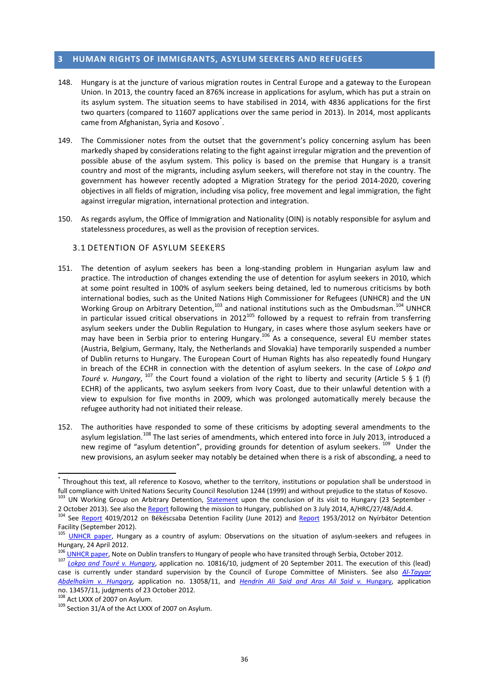## <span id="page-35-0"></span>**3 HUMAN RIGHTS OF IMMIGRANTS, ASYLUM SEEKERS AND REFUGEES**

- 148. Hungary is at the juncture of various migration routes in Central Europe and a gateway to the European Union. In 2013, the country faced an 876% increase in applications for asylum, which has put a strain on its asylum system. The situation seems to have stabilised in 2014, with 4836 applications for the first two quarters (compared to 11607 applications over the same period in 2013). In 2014, most applicants came from Afghanistan, Syria and Kosovo<sup>\*</sup>.
- 149. The Commissioner notes from the outset that the government's policy concerning asylum has been markedly shaped by considerations relating to the fight against irregular migration and the prevention of possible abuse of the asylum system. This policy is based on the premise that Hungary is a transit country and most of the migrants, including asylum seekers, will therefore not stay in the country. The government has however recently adopted a Migration Strategy for the period 2014-2020, covering objectives in all fields of migration, including visa policy, free movement and legal immigration, the fight against irregular migration, international protection and integration.
- 150. As regards asylum, the Office of Immigration and Nationality (OIN) is notably responsible for asylum and statelessness procedures, as well as the provision of reception services.

## <span id="page-35-1"></span>3.1 DETENTION OF ASYLUM SEEKERS

- 151. The detention of asylum seekers has been a long-standing problem in Hungarian asylum law and practice. The introduction of changes extending the use of detention for asylum seekers in 2010, which at some point resulted in 100% of asylum seekers being detained, led to numerous criticisms by both international bodies, such as the United Nations High Commissioner for Refugees (UNHCR) and the UN Working Group on Arbitrary Detention,<sup>103</sup> and national institutions such as the Ombudsman.<sup>104</sup> UNHCR in particular issued critical observations in 2012<sup>105</sup> followed by a request to refrain from transferring asylum seekers under the Dublin Regulation to Hungary, in cases where those asylum seekers have or may have been in Serbia prior to entering Hungary. <sup>106</sup> As a consequence, several EU member states (Austria, Belgium, Germany, Italy, the Netherlands and Slovakia) have temporarily suspended a number of Dublin returns to Hungary. The European Court of Human Rights has also repeatedly found Hungary in breach of the ECHR in connection with the detention of asylum seekers. In the case of *Lokpo and*  Touré v. Hungary, <sup>107</sup> the Court found a violation of the right to liberty and security (Article 5 § 1 (f) ECHR) of the applicants, two asylum seekers from Ivory Coast, due to their unlawful detention with a view to expulsion for five months in 2009, which was prolonged automatically merely because the refugee authority had not initiated their release.
- 152. The authorities have responded to some of these criticisms by adopting several amendments to the asylum legislation.<sup>108</sup> The last series of amendments, which entered into force in July 2013, introduced a new regime of "asylum detention", providing grounds for detention of asylum seekers. <sup>109</sup> Under the new provisions, an asylum seeker may notably be detained when there is a risk of absconding, a need to

<sup>\*</sup> Throughout this text, all reference to Kosovo, whether to the territory, institutions or population shall be understood in full compliance with United Nations Security Council Resolution 1244 (1999) and without prejudice to the status of Kosovo.

<sup>&</sup>lt;sup>103</sup> UN Working Group on Arbitrary Detention, **Statement** upon the conclusion of its visit to Hungary (23 September 2 October 2013). See also th[e Report](http://www.refworld.org/docid/53eb2f9b4.html) following the mission to Hungary, published on 3 July 2014, A/HRC/27/48/Add.4.

<sup>&</sup>lt;sup>104</sup> See [Report](http://www.ajbh.hu/documents/14315/131278/The+investigation+of+the+ombudsman+on+the+conditions+of+the+Ny%C3%ADrb%C3%A1tor+Detention+Facility/6fda33a3-e2ff-4de6-84c3-feec543c95e5?version=1.1&redirect=http%3A%2F%2Fwww.ajbh.hu%2Fen%2Fweb%2Fajbh-en%2Fnews%3Fp_p_id%3D3%26p_p_lifecycle%3D0%26p_p_state%3Dmaximized%26p_p_mode%3Dview%26_3_groupId%3D0%26_3_keywords%3Dasylum%2Bdetention%26_3_struts_action%3D%252Fsearch%252Fsearch%26_3_redirect%3D%252Fen%252Fweb%252Fajbh-en%252Fnews) 4019/2012 on Békéscsaba Detention Facility (June 2012) and Report 1953/2012 on Nyírbátor Detention Facility (September 2012).

<sup>&</sup>lt;sup>105</sup> [UNHCR paper,](http://www.unhcr.org/refworld/docid/4f9167db2.html) Hungary as a country of asylum: Observations on the situation of asylum-seekers and refugees in Hungary, 24 April 2012.

<sup>106</sup> [UNHCR paper,](http://www.unhcr.org/refworld/docid/507298a22.html) Note on Dublin transfers to Hungary of people who have transited through Serbia, October 2012.

<sup>107</sup> *[Lokpo and Touré v. Hungary](http://hudoc.echr.coe.int/sites/eng/pages/search.aspx?i=001-106272)*, application no. 10816/10, judgment of 20 September 2011. The execution of this (lead) case is currently under standard supervision by the Council of Europe Committee of Ministers. See also *[Al-Tayyar](http://hudoc.echr.coe.int/sites/eng/pages/search.aspx?i=001-113936)  [Abdelhakim v. Hungary,](http://hudoc.echr.coe.int/sites/eng/pages/search.aspx?i=001-113936)* application no. 13058/11, and *[Hendrin Ali Said and Aras Ali Said v.](http://hudoc.echr.coe.int/sites/eng/pages/search.aspx?i=001-113937)* Hungary, application no. 13457/11, judgments of 23 October 2012.

Act LXXX of 2007 on Asylum.

<sup>109</sup> Section 31/A of the Act LXXX of 2007 on Asylum.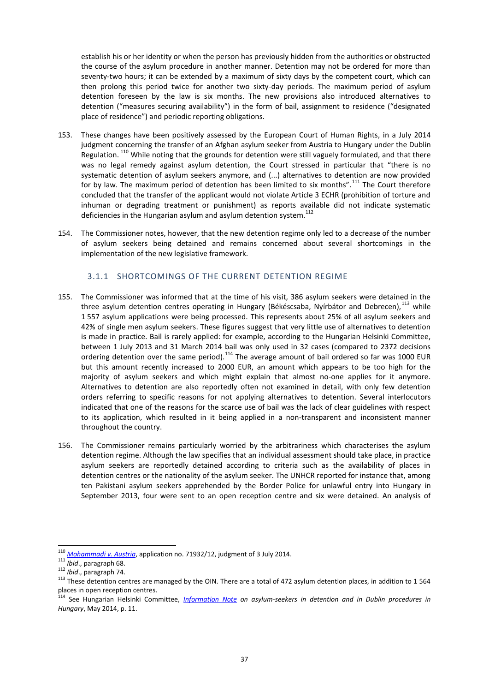establish his or her identity or when the person has previously hidden from the authorities or obstructed the course of the asylum procedure in another manner. Detention may not be ordered for more than seventy-two hours; it can be extended by a maximum of sixty days by the competent court, which can then prolong this period twice for another two sixty-day periods. The maximum period of asylum detention foreseen by the law is six months. The new provisions also introduced alternatives to detention ("measures securing availability") in the form of bail, assignment to residence ("designated place of residence") and periodic reporting obligations.

- 153. These changes have been positively assessed by the European Court of Human Rights, in a July 2014 judgment concerning the transfer of an Afghan asylum seeker from Austria to Hungary under the Dublin Regulation. <sup>110</sup> While noting that the grounds for detention were still vaguely formulated, and that there was no legal remedy against asylum detention, the Court stressed in particular that "there is no systematic detention of asylum seekers anymore, and (...) alternatives to detention are now provided for by law. The maximum period of detention has been limited to six months".<sup>111</sup> The Court therefore concluded that the transfer of the applicant would not violate Article 3 ECHR (prohibition of torture and inhuman or degrading treatment or punishment) as reports available did not indicate systematic deficiencies in the Hungarian asylum and asylum detention system.<sup>112</sup>
- 154. The Commissioner notes, however, that the new detention regime only led to a decrease of the number of asylum seekers being detained and remains concerned about several shortcomings in the implementation of the new legislative framework.

## 3.1.1 SHORTCOMINGS OF THE CURRENT DETENTION REGIME

- <span id="page-36-0"></span>155. The Commissioner was informed that at the time of his visit, 386 asylum seekers were detained in the three asylum detention centres operating in Hungary (Békéscsaba, Nyírbátor and Debrecen), 113 while 1 557 asylum applications were being processed. This represents about 25% of all asylum seekers and 42% of single men asylum seekers. These figures suggest that very little use of alternatives to detention is made in practice. Bail is rarely applied: for example, according to the Hungarian Helsinki Committee, between 1 July 2013 and 31 March 2014 bail was only used in 32 cases (compared to 2372 decisions ordering detention over the same period).<sup>114</sup> The average amount of bail ordered so far was 1000 EUR but this amount recently increased to 2000 EUR, an amount which appears to be too high for the majority of asylum seekers and which might explain that almost no-one applies for it anymore. Alternatives to detention are also reportedly often not examined in detail, with only few detention orders referring to specific reasons for not applying alternatives to detention. Several interlocutors indicated that one of the reasons for the scarce use of bail was the lack of clear guidelines with respect to its application, which resulted in it being applied in a non-transparent and inconsistent manner throughout the country.
- 156. The Commissioner remains particularly worried by the arbitrariness which characterises the asylum detention regime. Although the law specifies that an individual assessment should take place, in practice asylum seekers are reportedly detained according to criteria such as the availability of places in detention centres or the nationality of the asylum seeker. The UNHCR reported for instance that, among ten Pakistani asylum seekers apprehended by the Border Police for unlawful entry into Hungary in September 2013, four were sent to an open reception centre and six were detained. An analysis of

 $\overline{a}$ <sup>110</sup> *[Mohammadi v. Austria](http://hudoc.echr.coe.int/sites/eng/pages/search.aspx?i=001-145233)*, application no. 71932/12, judgment of 3 July 2014.

<sup>111</sup> *Ibid*., paragraph 68.

<sup>112</sup> *Ibid*., paragraph 74.

<sup>113</sup> These detention centres are managed by the OIN. There are a total of 472 asylum detention places, in addition to 1 564 places in open reception centres.

<sup>&</sup>lt;sup>114</sup> See Hungarian Helsinki Committee, *[Information Note](http://helsinki.hu/wp-content/uploads/HHC-Hungary-info-update-May-2014.pdf)* on asylum-seekers in detention and in Dublin procedures in *Hungary*, May 2014, p. 11.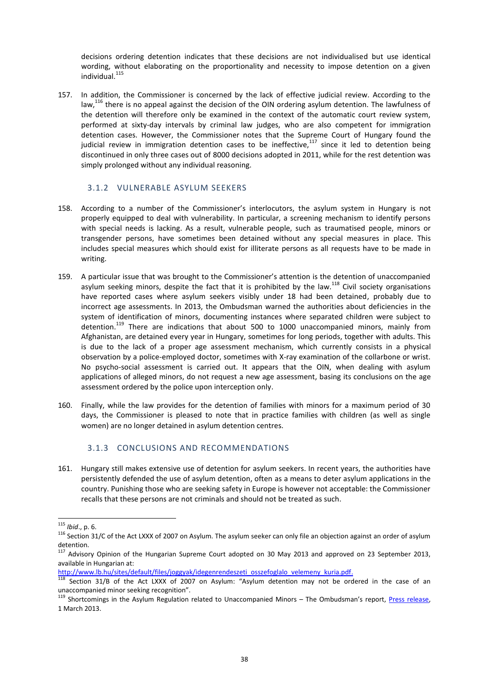decisions ordering detention indicates that these decisions are not individualised but use identical wording, without elaborating on the proportionality and necessity to impose detention on a given individual.<sup>115</sup>

157. In addition, the Commissioner is concerned by the lack of effective judicial review. According to the law,<sup>116</sup> there is no appeal against the decision of the OIN ordering asylum detention. The lawfulness of the detention will therefore only be examined in the context of the automatic court review system, performed at sixty-day intervals by criminal law judges, who are also competent for immigration detention cases. However, the Commissioner notes that the Supreme Court of Hungary found the judicial review in immigration detention cases to be ineffective, $^{117}$  since it led to detention being discontinued in only three cases out of 8000 decisions adopted in 2011, while for the rest detention was simply prolonged without any individual reasoning.

## 3.1.2 VULNERABLE ASYLUM SEEKERS

- <span id="page-37-0"></span>158. According to a number of the Commissioner's interlocutors, the asylum system in Hungary is not properly equipped to deal with vulnerability. In particular, a screening mechanism to identify persons with special needs is lacking. As a result, vulnerable people, such as traumatised people, minors or transgender persons, have sometimes been detained without any special measures in place. This includes special measures which should exist for illiterate persons as all requests have to be made in writing.
- 159. A particular issue that was brought to the Commissioner's attention is the detention of unaccompanied asylum seeking minors, despite the fact that it is prohibited by the law.<sup>118</sup> Civil society organisations have reported cases where asylum seekers visibly under 18 had been detained, probably due to incorrect age assessments. In 2013, the Ombudsman warned the authorities about deficiencies in the system of identification of minors, documenting instances where separated children were subject to detention.<sup>119</sup> There are indications that about 500 to 1000 unaccompanied minors, mainly from Afghanistan, are detained every year in Hungary, sometimes for long periods, together with adults. This is due to the lack of a proper age assessment mechanism, which currently consists in a physical observation by a police-employed doctor, sometimes with X-ray examination of the collarbone or wrist. No psycho-social assessment is carried out. It appears that the OIN, when dealing with asylum applications of alleged minors, do not request a new age assessment, basing its conclusions on the age assessment ordered by the police upon interception only.
- 160. Finally, while the law provides for the detention of families with minors for a maximum period of 30 days, the Commissioner is pleased to note that in practice families with children (as well as single women) are no longer detained in asylum detention centres.

## 3.1.3 CONCLUSIONS AND RECOMMENDATIONS

<span id="page-37-1"></span>161. Hungary still makes extensive use of detention for asylum seekers. In recent years, the authorities have persistently defended the use of asylum detention, often as a means to deter asylum applications in the country. Punishing those who are seeking safety in Europe is however not acceptable: the Commissioner recalls that these persons are not criminals and should not be treated as such.

<sup>115</sup> *Ibid*., p. 6.

<sup>116</sup> Section 31/C of the Act LXXX of 2007 on Asylum. The asylum seeker can only file an objection against an order of asylum detention.

<sup>&</sup>lt;sup>117</sup> Advisory Opinion of the Hungarian Supreme Court adopted on 30 May 2013 and approved on 23 September 2013, available in Hungarian at:

[http://www.lb.hu/sites/default/files/joggyak/idegenrendeszeti\\_osszefoglalo\\_velemeny\\_kuria.pdf.](http://www.lb.hu/sites/default/files/joggyak/idegenrendeszeti_osszefoglalo_velemeny_kuria.pdf)

<sup>118</sup> Section 31/B of the Act LXXX of 2007 on Asylum: "Asylum detention may not be ordered in the case of an unaccompanied minor seeking recognition".

<sup>&</sup>lt;sup>119</sup> Shortcomings in the Asylum Regulation related to Unaccompanied Minors – The Ombudsman's report, Press release, 1 March 2013.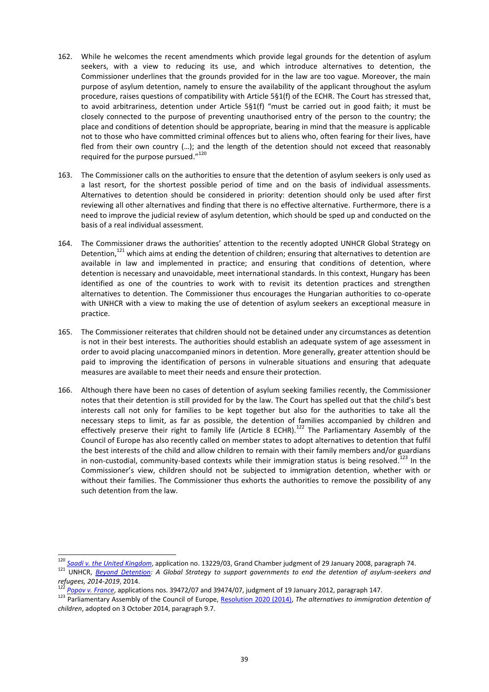- 162. While he welcomes the recent amendments which provide legal grounds for the detention of asylum seekers, with a view to reducing its use, and which introduce alternatives to detention, the Commissioner underlines that the grounds provided for in the law are too vague. Moreover, the main purpose of asylum detention, namely to ensure the availability of the applicant throughout the asylum procedure, raises questions of compatibility with Article 5§1(f) of the ECHR. The Court has stressed that, to avoid arbitrariness, detention under Article 5§1(f) "must be carried out in good faith; it must be closely connected to the purpose of preventing unauthorised entry of the person to the country; the place and conditions of detention should be appropriate, bearing in mind that the measure is applicable not to those who have committed criminal offences but to aliens who, often fearing for their lives, have fled from their own country (...); and the length of the detention should not exceed that reasonably required for the purpose pursued."<sup>120</sup>
- 163. The Commissioner calls on the authorities to ensure that the detention of asylum seekers is only used as a last resort, for the shortest possible period of time and on the basis of individual assessments. Alternatives to detention should be considered in priority: detention should only be used after first reviewing all other alternatives and finding that there is no effective alternative. Furthermore, there is a need to improve the judicial review of asylum detention, which should be sped up and conducted on the basis of a real individual assessment.
- 164. The Commissioner draws the authorities' attention to the recently adopted UNHCR Global Strategy on Detention, $121$  which aims at ending the detention of children; ensuring that alternatives to detention are available in law and implemented in practice; and ensuring that conditions of detention, where detention is necessary and unavoidable, meet international standards. In this context, Hungary has been identified as one of the countries to work with to revisit its detention practices and strengthen alternatives to detention. The Commissioner thus encourages the Hungarian authorities to co-operate with UNHCR with a view to making the use of detention of asylum seekers an exceptional measure in practice.
- 165. The Commissioner reiterates that children should not be detained under any circumstances as detention is not in their best interests. The authorities should establish an adequate system of age assessment in order to avoid placing unaccompanied minors in detention. More generally, greater attention should be paid to improving the identification of persons in vulnerable situations and ensuring that adequate measures are available to meet their needs and ensure their protection.
- 166. Although there have been no cases of detention of asylum seeking families recently, the Commissioner notes that their detention is still provided for by the law. The Court has spelled out that the child's best interests call not only for families to be kept together but also for the authorities to take all the necessary steps to limit, as far as possible, the detention of families accompanied by children and effectively preserve their right to family life (Article 8 ECHR).<sup>122</sup> The Parliamentary Assembly of the Council of Europe has also recently called on member states to adopt alternatives to detention that fulfil the best interests of the child and allow children to remain with their family members and/or guardians in non-custodial, community-based contexts while their immigration status is being resolved.<sup>123</sup> In the Commissioner's view, children should not be subjected to immigration detention, whether with or without their families. The Commissioner thus exhorts the authorities to remove the possibility of any such detention from the law.

<sup>120</sup> *[Saadi v. the United Kingdom](http://hudoc.echr.coe.int/sites/eng/pages/search.aspx?i=001-84709)*, application no. 13229/03, Grand Chamber judgment of 29 January 2008, paragraph 74.

<sup>121</sup> UNHCR, *[Beyond Detention:](http://www.refworld.org/docid/536b564d4.html) A Global Strategy to support governments to end the detention of asylum-seekers and refugees, 2014-2019*, 2014.

<sup>122</sup> *[Popov v. France](http://hudoc.echr.coe.int/sites/eng/pages/search.aspx?i=001-108710)*, applications nos. 39472/07 and 39474/07, judgment of 19 January 2012, paragraph 147.

<sup>123</sup> Parliamentary Assembly of the Council of Europe, [Resolution 2020 \(2014\),](http://assembly.coe.int/ASP/Doc/XrefViewPDF.asp?FileID=21295&Language=EN) *The alternatives to immigration detention of children*, adopted on 3 October 2014, paragraph 9.7.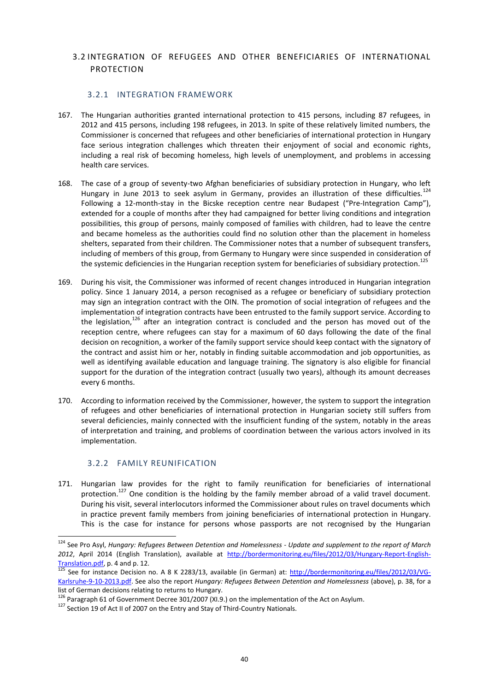# <span id="page-39-1"></span><span id="page-39-0"></span>3.2 INTEGRATION OF REFUGEES AND OTHER BENEFICIARIES OF INTERNATIONAL PROTECTION

### 3.2.1 INTEGRATION FRAMEWORK

- 167. The Hungarian authorities granted international protection to 415 persons, including 87 refugees, in 2012 and 415 persons, including 198 refugees, in 2013. In spite of these relatively limited numbers, the Commissioner is concerned that refugees and other beneficiaries of international protection in Hungary face serious integration challenges which threaten their enjoyment of social and economic rights, including a real risk of becoming homeless, high levels of unemployment, and problems in accessing health care services.
- 168. The case of a group of seventy-two Afghan beneficiaries of subsidiary protection in Hungary, who left Hungary in June 2013 to seek asylum in Germany, provides an illustration of these difficulties.<sup>124</sup> Following a 12-month-stay in the Bicske reception centre near Budapest ("Pre-Integration Camp"), extended for a couple of months after they had campaigned for better living conditions and integration possibilities, this group of persons, mainly composed of families with children, had to leave the centre and became homeless as the authorities could find no solution other than the placement in homeless shelters, separated from their children. The Commissioner notes that a number of subsequent transfers, including of members of this group, from Germany to Hungary were since suspended in consideration of the systemic deficiencies in the Hungarian reception system for beneficiaries of subsidiary protection.<sup>125</sup>
- 169. During his visit, the Commissioner was informed of recent changes introduced in Hungarian integration policy. Since 1 January 2014, a person recognised as a refugee or beneficiary of subsidiary protection may sign an integration contract with the OIN. The promotion of social integration of refugees and the implementation of integration contracts have been entrusted to the family support service. According to the legislation,<sup>126</sup> after an integration contract is concluded and the person has moved out of the reception centre, where refugees can stay for a maximum of 60 days following the date of the final decision on recognition, a worker of the family support service should keep contact with the signatory of the contract and assist him or her, notably in finding suitable accommodation and job opportunities, as well as identifying available education and language training. The signatory is also eligible for financial support for the duration of the integration contract (usually two years), although its amount decreases every 6 months.
- 170. According to information received by the Commissioner, however, the system to support the integration of refugees and other beneficiaries of international protection in Hungarian society still suffers from several deficiencies, mainly connected with the insufficient funding of the system, notably in the areas of interpretation and training, and problems of coordination between the various actors involved in its implementation.

## 3.2.2 FAMILY REUNIFICATION

 $\overline{a}$ 

<span id="page-39-2"></span>171. Hungarian law provides for the right to family reunification for beneficiaries of international protection.<sup>127</sup> One condition is the holding by the family member abroad of a valid travel document. During his visit, several interlocutors informed the Commissioner about rules on travel documents which in practice prevent family members from joining beneficiaries of international protection in Hungary. This is the case for instance for persons whose passports are not recognised by the Hungarian

<sup>124</sup> See Pro Asyl, *Hungary: Refugees Between Detention and Homelessness - Update and supplement to the report of March 2012*, April 2014 (English Translation), available at [http://bordermonitoring.eu/files/2012/03/Hungary-Report-English-](http://bordermonitoring.eu/files/2012/03/Hungary-Report-English-Translation.pdf)[Translation.pdf,](http://bordermonitoring.eu/files/2012/03/Hungary-Report-English-Translation.pdf) p. 4 and p. 12.

<sup>125</sup> See for instance Decision no. A 8 K 2283/13, available (in German) at: [http://bordermonitoring.eu/files/2012/03/VG-](http://bordermonitoring.eu/files/2012/03/VG-Karlsruhe-9-10-2013.pdf)[Karlsruhe-9-10-2013.pdf.](http://bordermonitoring.eu/files/2012/03/VG-Karlsruhe-9-10-2013.pdf) See also the report *Hungary: Refugees Between Detention and Homelessness* (above), p. 38, for a list of German decisions relating to returns to Hungary.

<sup>&</sup>lt;sup>126</sup> Paragraph 61 of Government Decree 301/2007 (XI.9.) on the implementation of the Act on Asylum.

<sup>127</sup> Section 19 of Act II of 2007 on the Entry and Stay of Third-Country Nationals.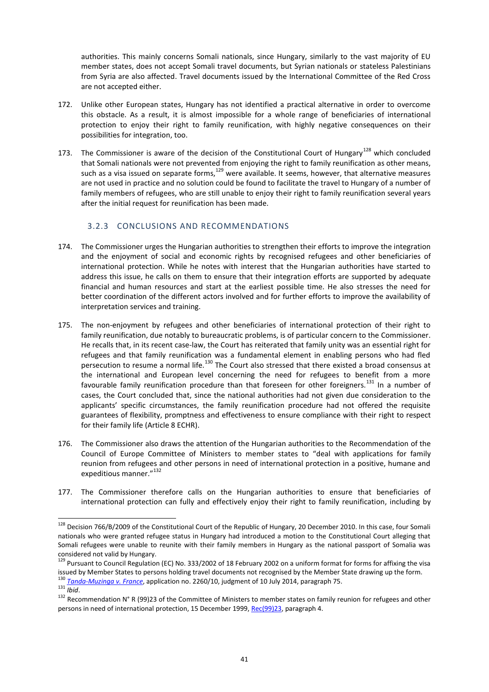authorities. This mainly concerns Somali nationals, since Hungary, similarly to the vast majority of EU member states, does not accept Somali travel documents, but Syrian nationals or stateless Palestinians from Syria are also affected. Travel documents issued by the International Committee of the Red Cross are not accepted either.

- 172. Unlike other European states, Hungary has not identified a practical alternative in order to overcome this obstacle. As a result, it is almost impossible for a whole range of beneficiaries of international protection to enjoy their right to family reunification, with highly negative consequences on their possibilities for integration, too.
- 173. The Commissioner is aware of the decision of the Constitutional Court of Hungary<sup>128</sup> which concluded that Somali nationals were not prevented from enjoying the right to family reunification as other means, such as a visa issued on separate forms,<sup>129</sup> were available. It seems, however, that alternative measures are not used in practice and no solution could be found to facilitate the travel to Hungary of a number of family members of refugees, who are still unable to enjoy their right to family reunification several years after the initial request for reunification has been made.

## 3.2.3 CONCLUSIONS AND RECOMMENDATIONS

- <span id="page-40-0"></span>174. The Commissioner urges the Hungarian authorities to strengthen their efforts to improve the integration and the enjoyment of social and economic rights by recognised refugees and other beneficiaries of international protection. While he notes with interest that the Hungarian authorities have started to address this issue, he calls on them to ensure that their integration efforts are supported by adequate financial and human resources and start at the earliest possible time. He also stresses the need for better coordination of the different actors involved and for further efforts to improve the availability of interpretation services and training.
- 175. The non-enjoyment by refugees and other beneficiaries of international protection of their right to family reunification, due notably to bureaucratic problems, is of particular concern to the Commissioner. He recalls that, in its recent case-law, the Court has reiterated that family unity was an essential right for refugees and that family reunification was a fundamental element in enabling persons who had fled persecution to resume a normal life.<sup>130</sup> The Court also stressed that there existed a broad consensus at the international and European level concerning the need for refugees to benefit from a more favourable family reunification procedure than that foreseen for other foreigners.<sup>131</sup> In a number of cases, the Court concluded that, since the national authorities had not given due consideration to the applicants' specific circumstances, the family reunification procedure had not offered the requisite guarantees of flexibility, promptness and effectiveness to ensure compliance with their right to respect for their family life (Article 8 ECHR).
- 176. The Commissioner also draws the attention of the Hungarian authorities to the Recommendation of the Council of Europe Committee of Ministers to member states to "deal with applications for family reunion from refugees and other persons in need of international protection in a positive, humane and expeditious manner."<sup>132</sup>
- 177. The Commissioner therefore calls on the Hungarian authorities to ensure that beneficiaries of international protection can fully and effectively enjoy their right to family reunification, including by

<sup>130</sup> *[Tanda-Muzinga v. France](http://hudoc.echr.coe.int/sites/eng/pages/search.aspx?i=001-145358)*, application no. 2260/10, judgment of 10 July 2014, paragraph 75.

<sup>&</sup>lt;sup>128</sup> Decision 766/B/2009 of the Constitutional Court of the Republic of Hungary, 20 December 2010. In this case, four Somali nationals who were granted refugee status in Hungary had introduced a motion to the Constitutional Court alleging that Somali refugees were unable to reunite with their family members in Hungary as the national passport of Somalia was considered not valid by Hungary.

<sup>129</sup> Pursuant to Council Regulation (EC) No. 333/2002 of 18 February 2002 on a uniform format for forms for affixing the visa issued by Member States to persons holding travel documents not recognised by the Member State drawing up the form.

<sup>131</sup> *Ibid*.

<sup>132</sup> Recommendation N° R (99)23 of the Committee of Ministers to member states on family reunion for refugees and other persons in need of international protection, 15 December 1999, [Rec\(99\)23,](https://wcd.coe.int/com.instranet.InstraServlet?command=com.instranet.CmdBlobGet&InstranetImage=540364&SecMode=1&DocId=428672&Usage=2) paragraph 4.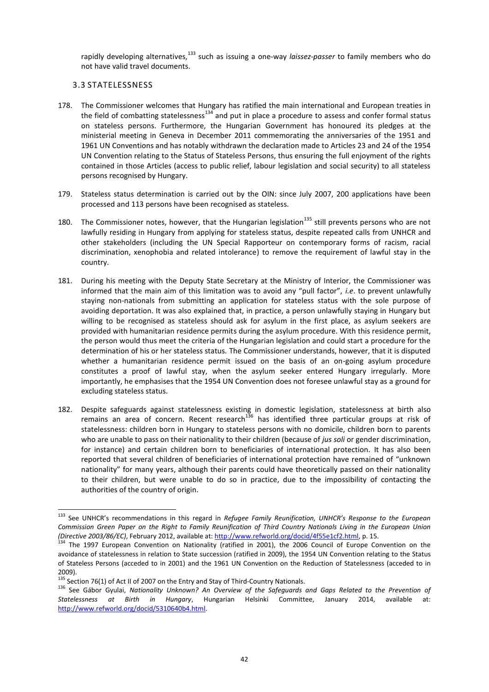rapidly developing alternatives,<sup>133</sup> such as issuing a one-way *laissez-passer* to family members who do not have valid travel documents.

## <span id="page-41-0"></span>3.3 STATELESSNESS

- 178. The Commissioner welcomes that Hungary has ratified the main international and European treaties in the field of combatting statelessness<sup>134</sup> and put in place a procedure to assess and confer formal status the field on stateless persons. Furthermore, the Hungarian Government has honoured its pledges at the ministerial meeting in Geneva in December 2011 commemorating the anniversaries of the 1951 and 1961 UN Conventions and has notably withdrawn the declaration made to Articles 23 and 24 of the 1954 UN Convention relating to the Status of Stateless Persons, thus ensuring the full enjoyment of the rights contained in those Articles (access to public relief, labour legislation and social security) to all stateless persons recognised by Hungary.
- 179. Stateless status determination is carried out by the OIN: since July 2007, 200 applications have been processed and 113 persons have been recognised as stateless.
- 180. The Commissioner notes, however, that the Hungarian legislation<sup>135</sup> still prevents persons who are not lawfully residing in Hungary from applying for stateless status, despite repeated calls from UNHCR and other stakeholders (including the UN Special Rapporteur on contemporary forms of racism, racial discrimination, xenophobia and related intolerance) to remove the requirement of lawful stay in the country.
- 181. During his meeting with the Deputy State Secretary at the Ministry of Interior, the Commissioner was informed that the main aim of this limitation was to avoid any "pull factor", *i.e*. to prevent unlawfully staying non-nationals from submitting an application for stateless status with the sole purpose of avoiding deportation. It was also explained that, in practice, a person unlawfully staying in Hungary but willing to be recognised as stateless should ask for asylum in the first place, as asylum seekers are provided with humanitarian residence permits during the asylum procedure. With this residence permit, the person would thus meet the criteria of the Hungarian legislation and could start a procedure for the determination of his or her stateless status. The Commissioner understands, however, that it is disputed whether a humanitarian residence permit issued on the basis of an on-going asylum procedure constitutes a proof of lawful stay, when the asylum seeker entered Hungary irregularly. More importantly, he emphasises that the 1954 UN Convention does not foresee unlawful stay as a ground for excluding stateless status.
- 182. Despite safeguards against statelessness existing in domestic legislation, statelessness at birth also remains an area of concern. Recent research<sup>136</sup> has identified three particular groups at risk of statelessness: children born in Hungary to stateless persons with no domicile, children born to parents who are unable to pass on their nationality to their children (because of *jus soli* or gender discrimination, for instance) and certain children born to beneficiaries of international protection. It has also been reported that several children of beneficiaries of international protection have remained of "unknown nationality" for many years, although their parents could have theoretically passed on their nationality to their children, but were unable to do so in practice, due to the impossibility of contacting the authorities of the country of origin.

<sup>133</sup> See UNHCR's recommendations in this regard in *Refugee Family Reunification, UNHCR's Response to the European Commission Green Paper on the Right to Family Reunification of Third Country Nationals Living in the European Union (Directive 2003/86/EC)*, February 2012, available at[: http://www.refworld.org/docid/4f55e1cf2.html,](http://www.refworld.org/docid/4f55e1cf2.html) p. 15.

<sup>&</sup>lt;sup>134</sup> The 1997 European Convention on Nationality (ratified in 2001), the 2006 Council of Europe Convention on the avoidance of statelessness in relation to State succession (ratified in 2009), the 1954 UN Convention relating to the Status of Stateless Persons (acceded to in 2001) and the 1961 UN Convention on the Reduction of Statelessness (acceded to in 2009).

<sup>135</sup> Section 76(1) of Act II of 2007 on the Entry and Stay of Third-Country Nationals.

<sup>136</sup> See Gábor Gyulai, *Nationality Unknown? An Overview of the Safeguards and Gaps Related to the Prevention of*  Statelessness at Birth in Hungary, Hungarian Helsinki Committee, January 2014, available [http://www.refworld.org/docid/5310640b4.html.](http://www.refworld.org/docid/5310640b4.html)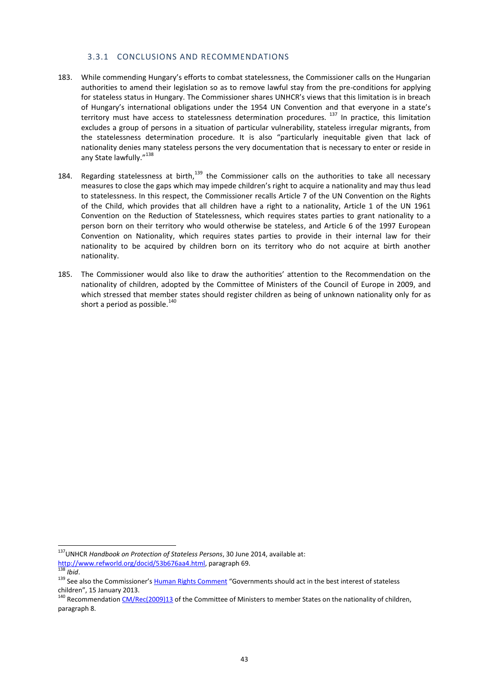## 3.3.1 CONCLUSIONS AND RECOMMENDATIONS

- <span id="page-42-0"></span>183. While commending Hungary's efforts to combat statelessness, the Commissioner calls on the Hungarian authorities to amend their legislation so as to remove lawful stay from the pre-conditions for applying for stateless status in Hungary. The Commissioner shares UNHCR's views that this limitation is in breach of Hungary's international obligations under the 1954 UN Convention and that everyone in a state's territory must have access to statelessness determination procedures.<sup>137</sup> In practice, this limitation excludes a group of persons in a situation of particular vulnerability, stateless irregular migrants, from the statelessness determination procedure. It is also "particularly inequitable given that lack of nationality denies many stateless persons the very documentation that is necessary to enter or reside in any State lawfully."<sup>138</sup>
- 184. Regarding statelessness at birth, $139$  the Commissioner calls on the authorities to take all necessary measures to close the gaps which may impede children's right to acquire a nationality and may thus lead to statelessness. In this respect, the Commissioner recalls Article 7 of the UN Convention on the Rights of the Child, which provides that all children have a right to a nationality, Article 1 of the UN 1961 Convention on the Reduction of Statelessness, which requires states parties to grant nationality to a person born on their territory who would otherwise be stateless, and Article 6 of the 1997 European Convention on Nationality, which requires states parties to provide in their internal law for their nationality to be acquired by children born on its territory who do not acquire at birth another nationality.
- 185. The Commissioner would also like to draw the authorities' attention to the Recommendation on the nationality of children, adopted by the Committee of Ministers of the Council of Europe in 2009, and which stressed that member states should register children as being of unknown nationality only for as short a period as possible.<sup>140</sup>

 $\overline{a}$ <sup>137</sup>UNHCR *Handbook on Protection of Stateless Persons*, 30 June 2014, available at:

[http://www.refworld.org/docid/53b676aa4.html,](http://www.refworld.org/docid/53b676aa4.html) paragraph 69. <sup>138</sup> *Ibid*.

<sup>&</sup>lt;sup>139</sup> See also the Commissioner's [Human Rights Comment](http://www.coe.int/en/web/commissioner/-/governments-should-act-in-the-best-interest-of-stateless-childr-1?redirect=http%3A%2F%2Fwww.coe.int%2Fen%2Fweb%2Fcommissioner%2Fblog-2013%3Fp_p_id%3D101_INSTANCE_xZ32OPEoxOkq%26p_p_lifecycle%3D0%26p_p_state%3Dnormal%26p_p_mode%3Dview%26p_p_col_id%3Dcolumn-1%26p_p_col_count%3D1#xZ32OPEoxOkq) "Governments should act in the best interest of stateless children", 15 January 2013.

<sup>&</sup>lt;sup>140</sup> Recommendation [CM/Rec\(2009\)13](https://wcd.coe.int/ViewDoc.jsp?id=1563529) of the Committee of Ministers to member States on the nationality of children, paragraph 8.